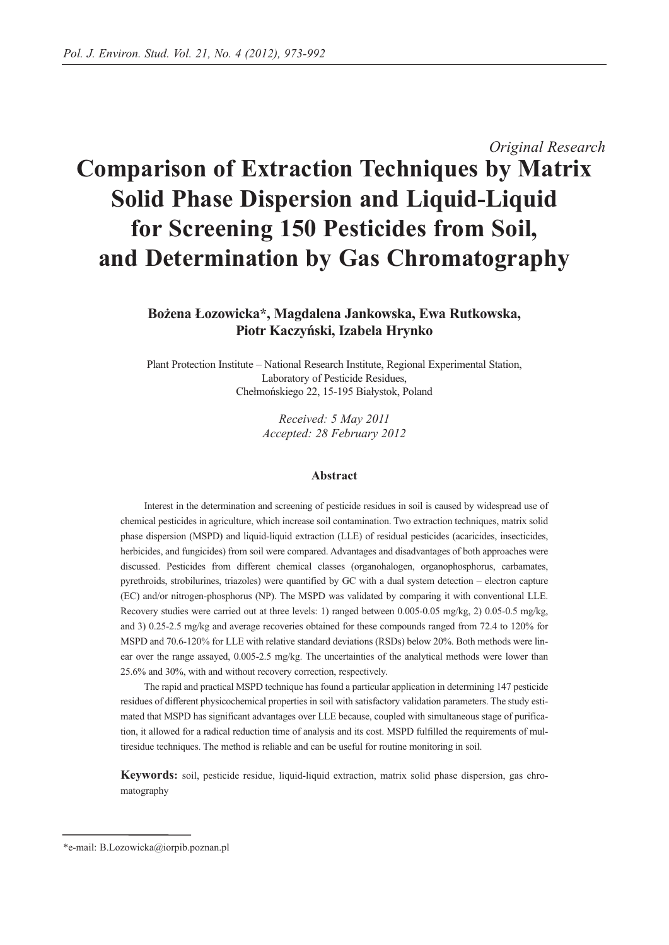# *Original Research* **Comparison of Extraction Techniques by Matrix Solid Phase Dispersion and Liquid-Liquid for Screening 150 Pesticides from Soil, and Determination by Gas Chromatography**

## **Bożena Łozowicka\*, Magdalena Jankowska, Ewa Rutkowska, Piotr Kaczyński, Izabela Hrynko**

Plant Protection Institute – National Research Institute, Regional Experimental Station, Laboratory of Pesticide Residues, Chełmońskiego 22, 15-195 Białystok, Poland

> *Received: 5 May 2011 Accepted: 28 February 2012*

## **Abstract**

Interest in the determination and screening of pesticide residues in soil is caused by widespread use of chemical pesticides in agriculture, which increase soil contamination. Two extraction techniques, matrix solid phase dispersion (MSPD) and liquid-liquid extraction (LLE) of residual pesticides (acaricides, insecticides, herbicides, and fungicides) from soil were compared. Advantages and disadvantages of both approaches were discussed. Pesticides from different chemical classes (organohalogen, organophosphorus, carbamates, pyrethroids, strobilurines, triazoles) were quantified by GC with a dual system detection – electron capture (EC) and/or nitrogen-phosphorus (NP). The MSPD was validated by comparing it with conventional LLE. Recovery studies were carried out at three levels: 1) ranged between 0.005-0.05 mg/kg, 2) 0.05-0.5 mg/kg, and 3) 0.25-2.5 mg/kg and average recoveries obtained for these compounds ranged from 72.4 to 120% for MSPD and 70.6-120% for LLE with relative standard deviations (RSDs) below 20%. Both methods were linear over the range assayed, 0.005-2.5 mg/kg. The uncertainties of the analytical methods were lower than 25.6% and 30%, with and without recovery correction, respectively.

The rapid and practical MSPD technique has found a particular application in determining 147 pesticide residues of different physicochemical properties in soil with satisfactory validation parameters. The study estimated that MSPD has significant advantages over LLE because, coupled with simultaneous stage of purification, it allowed for a radical reduction time of analysis and its cost. MSPD fulfilled the requirements of multiresidue techniques. The method is reliable and can be useful for routine monitoring in soil.

**Keywords:** soil, pesticide residue, liquid-liquid extraction, matrix solid phase dispersion, gas chromatography

<sup>\*</sup>e-mail: B.Lozowicka@iorpib.poznan.pl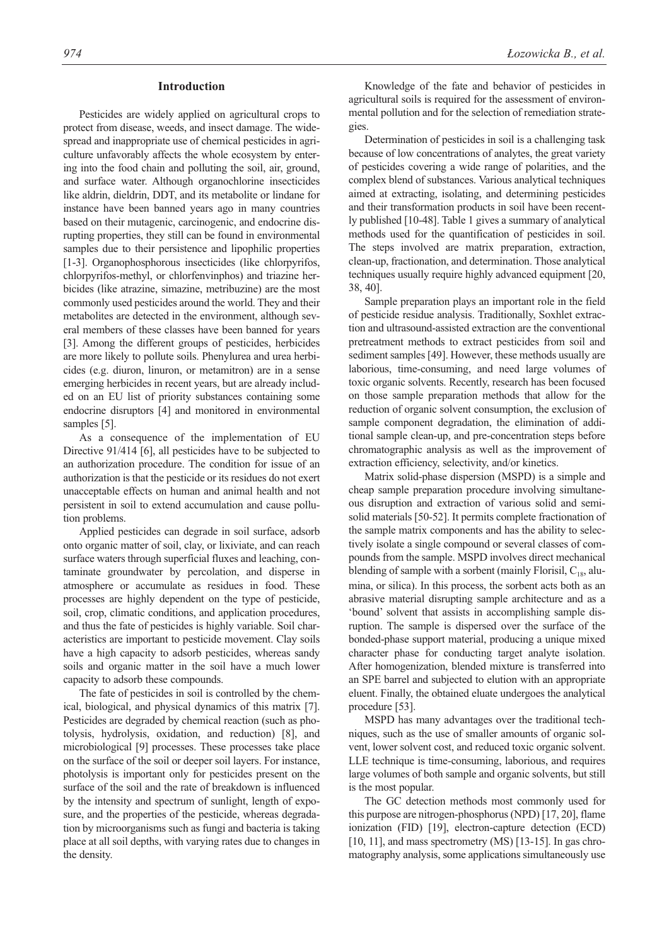## **Introduction**

Pesticides are widely applied on agricultural crops to protect from disease, weeds, and insect damage. The widespread and inappropriate use of chemical pesticides in agriculture unfavorably affects the whole ecosystem by entering into the food chain and polluting the soil, air, ground, and surface water. Although organochlorine insecticides like aldrin, dieldrin, DDT, and its metabolite or lindane for instance have been banned years ago in many countries based on their mutagenic, carcinogenic, and endocrine disrupting properties, they still can be found in environmental samples due to their persistence and lipophilic properties [1-3]. Organophosphorous insecticides (like chlorpyrifos, chlorpyrifos-methyl, or chlorfenvinphos) and triazine herbicides (like atrazine, simazine, metribuzine) are the most commonly used pesticides around the world. They and their metabolites are detected in the environment, although several members of these classes have been banned for years [3]. Among the different groups of pesticides, herbicides are more likely to pollute soils. Phenylurea and urea herbicides (e.g. diuron, linuron, or metamitron) are in a sense emerging herbicides in recent years, but are already included on an EU list of priority substances containing some endocrine disruptors [4] and monitored in environmental samples [5].

As a consequence of the implementation of EU Directive 91/414 [6], all pesticides have to be subjected to an authorization procedure. The condition for issue of an authorization is that the pesticide or its residues do not exert unacceptable effects on human and animal health and not persistent in soil to extend accumulation and cause pollution problems.

Applied pesticides can degrade in soil surface, adsorb onto organic matter of soil, clay, or lixiviate, and can reach surface waters through superficial fluxes and leaching, contaminate groundwater by percolation, and disperse in atmosphere or accumulate as residues in food. These processes are highly dependent on the type of pesticide, soil, crop, climatic conditions, and application procedures, and thus the fate of pesticides is highly variable. Soil characteristics are important to pesticide movement. Clay soils have a high capacity to adsorb pesticides, whereas sandy soils and organic matter in the soil have a much lower capacity to adsorb these compounds.

The fate of pesticides in soil is controlled by the chemical, biological, and physical dynamics of this matrix [7]. Pesticides are degraded by chemical reaction (such as photolysis, hydrolysis, oxidation, and reduction) [8], and microbiological [9] processes. These processes take place on the surface of the soil or deeper soil layers. For instance, photolysis is important only for pesticides present on the surface of the soil and the rate of breakdown is influenced by the intensity and spectrum of sunlight, length of exposure, and the properties of the pesticide, whereas degradation by microorganisms such as fungi and bacteria is taking place at all soil depths, with varying rates due to changes in the density.

Knowledge of the fate and behavior of pesticides in agricultural soils is required for the assessment of environmental pollution and for the selection of remediation strategies.

Determination of pesticides in soil is a challenging task because of low concentrations of analytes, the great variety of pesticides covering a wide range of polarities, and the complex blend of substances. Various analytical techniques aimed at extracting, isolating, and determining pesticides and their transformation products in soil have been recently published [10-48]. Table 1 gives a summary of analytical methods used for the quantification of pesticides in soil. The steps involved are matrix preparation, extraction, clean-up, fractionation, and determination. Those analytical techniques usually require highly advanced equipment [20, 38, 40].

Sample preparation plays an important role in the field of pesticide residue analysis. Traditionally, Soxhlet extraction and ultrasound-assisted extraction are the conventional pretreatment methods to extract pesticides from soil and sediment samples [49]. However, these methods usually are laborious, time-consuming, and need large volumes of toxic organic solvents. Recently, research has been focused on those sample preparation methods that allow for the reduction of organic solvent consumption, the exclusion of sample component degradation, the elimination of additional sample clean-up, and pre-concentration steps before chromatographic analysis as well as the improvement of extraction efficiency, selectivity, and/or kinetics.

Matrix solid-phase dispersion (MSPD) is a simple and cheap sample preparation procedure involving simultaneous disruption and extraction of various solid and semisolid materials [50-52]. It permits complete fractionation of the sample matrix components and has the ability to selectively isolate a single compound or several classes of compounds from the sample. MSPD involves direct mechanical blending of sample with a sorbent (mainly Florisil,  $C_{18}$ , alumina, or silica). In this process, the sorbent acts both as an abrasive material disrupting sample architecture and as a 'bound' solvent that assists in accomplishing sample disruption. The sample is dispersed over the surface of the bonded-phase support material, producing a unique mixed character phase for conducting target analyte isolation. After homogenization, blended mixture is transferred into an SPE barrel and subjected to elution with an appropriate eluent. Finally, the obtained eluate undergoes the analytical procedure [53].

MSPD has many advantages over the traditional techniques, such as the use of smaller amounts of organic solvent, lower solvent cost, and reduced toxic organic solvent. LLE technique is time-consuming, laborious, and requires large volumes of both sample and organic solvents, but still is the most popular.

The GC detection methods most commonly used for this purpose are nitrogen-phosphorus (NPD) [17, 20], flame ionization (FID) [19], electron-capture detection (ECD) [10, 11], and mass spectrometry (MS) [13-15]. In gas chromatography analysis, some applications simultaneously use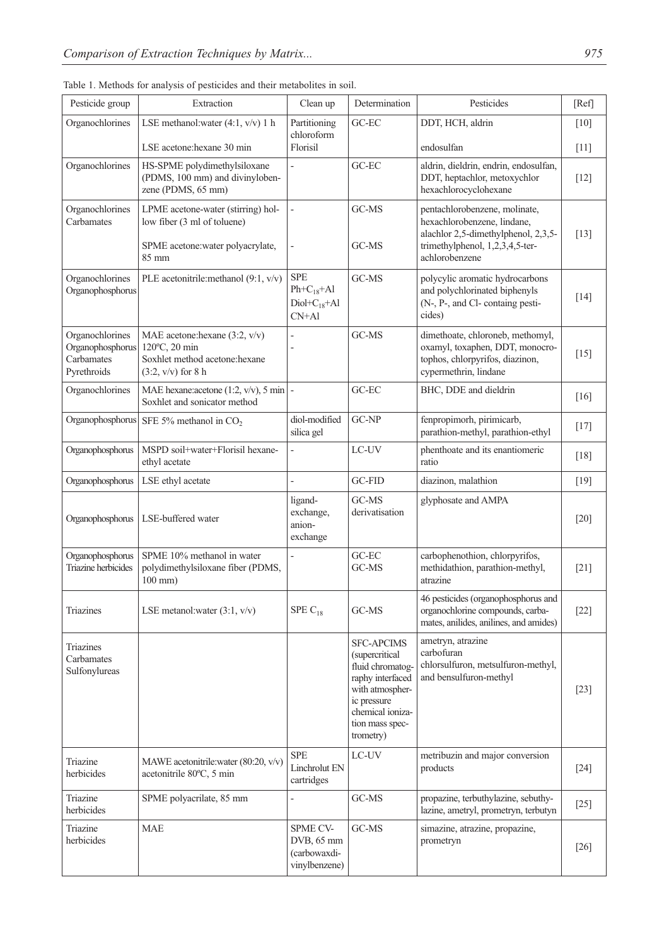| Pesticide group                                                  | Extraction                                                                                                | Clean up                                                        | Determination           | Pesticides                                                                                                                             | [Ref]              |
|------------------------------------------------------------------|-----------------------------------------------------------------------------------------------------------|-----------------------------------------------------------------|-------------------------|----------------------------------------------------------------------------------------------------------------------------------------|--------------------|
| Organochlorines                                                  | LSE methanol: water (4:1, v/v) 1 h                                                                        | Partitioning<br>chloroform                                      | GC-EC                   | DDT, HCH, aldrin                                                                                                                       | $\lceil 10 \rceil$ |
|                                                                  | LSE acetone: hexane 30 min                                                                                | Florisil                                                        |                         | endosulfan                                                                                                                             | $[11]$             |
| Organochlorines                                                  | HS-SPME polydimethylsiloxane<br>(PDMS, 100 mm) and divinyloben-<br>zene (PDMS, 65 mm)                     | GC-EC                                                           |                         | aldrin, dieldrin, endrin, endosulfan,<br>DDT, heptachlor, metoxychlor<br>hexachlorocyclohexane                                         | $[12]$             |
| Organochlorines<br>Carbamates                                    | LPME acetone-water (stirring) hol-<br>low fiber (3 ml of toluene)<br>SPME acetone: water polyacrylate,    |                                                                 | GC-MS<br>GC-MS          | pentachlorobenzene, molinate,<br>hexachlorobenzene, lindane,<br>alachlor 2,5-dimethylphenol, 2,3,5-<br>trimethylphenol, 1,2,3,4,5-ter- | $\lceil 13 \rceil$ |
|                                                                  | 85 mm                                                                                                     |                                                                 |                         | achlorobenzene                                                                                                                         |                    |
| Organochlorines<br>Organophosphorus                              | PLE acetonitrile:methanol (9:1, v/v)                                                                      | <b>SPE</b><br>$Ph + C_{18} + Al$<br>$Diol+C_{18}+Al$<br>$CN+Al$ | GC-MS                   | polycylic aromatic hydrocarbons<br>and polychlorinated biphenyls<br>(N-, P-, and Cl- containg pesti-<br>cides)                         | $[14]$             |
| Organochlorines<br>Organophosphorus<br>Carbamates<br>Pyrethroids | MAE acetone: hexane (3:2, v/v)<br>120°C, 20 min<br>Soxhlet method acetone: hexane<br>$(3:2, v/v)$ for 8 h |                                                                 | GC-MS                   | dimethoate, chloroneb, methomyl,<br>oxamyl, toxaphen, DDT, monocro-<br>tophos, chlorpyrifos, diazinon,<br>cypermethrin, lindane        | $[15]$             |
| Organochlorines                                                  | MAE hexane: acetone (1:2, $v/v$ ), 5 min -<br>Soxhlet and sonicator method                                |                                                                 | GC-EC                   | BHC, DDE and dieldrin                                                                                                                  | $\lceil 16 \rceil$ |
| Organophosphorus                                                 | SFE 5% methanol in $CO2$                                                                                  | diol-modified<br>silica gel                                     | GC-NP                   | fenpropimorh, pirimicarb,<br>parathion-methyl, parathion-ethyl                                                                         | [17]               |
| Organophosphorus                                                 | MSPD soil+water+Florisil hexane-<br>ethyl acetate                                                         |                                                                 | LC-UV                   | phenthoate and its enantiomeric<br>ratio                                                                                               | $[18]$             |
| Organophosphorus                                                 | LSE ethyl acetate                                                                                         |                                                                 | GC-FID                  | diazinon, malathion                                                                                                                    | $[19]$             |
| Organophosphorus                                                 | LSE-buffered water                                                                                        | ligand-<br>exchange,<br>anion-<br>exchange                      | GC-MS<br>derivatisation | glyphosate and AMPA                                                                                                                    | $[20]$             |
| Organophosphorus<br>Triazine herbicides                          | SPME 10% methanol in water<br>polydimethylsiloxane fiber (PDMS,<br>$100$ mm $)$                           |                                                                 | GC-EC<br>GC-MS          | carbophenothion, chlorpyrifos,<br>methidathion, parathion-methyl,<br>atrazine                                                          | $[21]$             |
| Triazines                                                        | LSE metanol: water $(3:1, v/v)$                                                                           | SPE $C_{18}$                                                    | GC-MS                   | 46 pesticides (organophosphorus and<br>organochlorine compounds, carba-<br>mates anilides anilines and amides)                         | $[22]$             |

Table 1. Methods for analy

| Organophosphorus<br>Triazine herbicides         | SPME 10% methanol in water<br>polydimethylsiloxane fiber (PDMS,<br>$100$ mm $)$ |                                                                | GC-EC<br>GC-MS                                                                                                                                                            | carbophenothion, chlorpyrifos,<br>methidathion, parathion-methyl,<br>atrazine                                     | $[21]$             |
|-------------------------------------------------|---------------------------------------------------------------------------------|----------------------------------------------------------------|---------------------------------------------------------------------------------------------------------------------------------------------------------------------------|-------------------------------------------------------------------------------------------------------------------|--------------------|
| <b>Triazines</b>                                | LSE metanol: water $(3:1, v/v)$                                                 | SPE $C_{18}$                                                   | GC-MS                                                                                                                                                                     | 46 pesticides (organophosphorus and<br>organochlorine compounds, carba-<br>mates, anilides, anilines, and amides) | $[22]$             |
| <b>Triazines</b><br>Carbamates<br>Sulfonylureas |                                                                                 |                                                                | <b>SFC-APCIMS</b><br><i>(supercritical)</i><br>fluid chromatog-<br>raphy interfaced<br>with atmospher-<br>ic pressure<br>chemical ioniza-<br>tion mass spec-<br>trometry) | ametryn, atrazine<br>carbofuran<br>chlorsulfuron, metsulfuron-methyl,<br>and bensulfuron-methyl                   | $\lceil 23 \rceil$ |
| Triazine<br>herbicides                          | MAWE acetonitrile: water (80:20, v/v)<br>acetonitrile 80°C, 5 min               | <b>SPE</b><br>Linchrolut EN<br>cartridges                      | LC-UV                                                                                                                                                                     | metribuzin and major conversion<br>products                                                                       | $[24]$             |
| Triazine<br>herbicides                          | SPME polyacrilate, 85 mm                                                        |                                                                | GC-MS                                                                                                                                                                     | propazine, terbuthylazine, sebuthy-<br>lazine, ametryl, prometryn, terbutyn                                       | $[25]$             |
| Triazine<br>herbicides                          | <b>MAE</b>                                                                      | <b>SPME CV-</b><br>DVB, 65 mm<br>(carbowaxdi-<br>vinylbenzene) | GC-MS                                                                                                                                                                     | simazine, atrazine, propazine,<br>prometryn                                                                       | [26]               |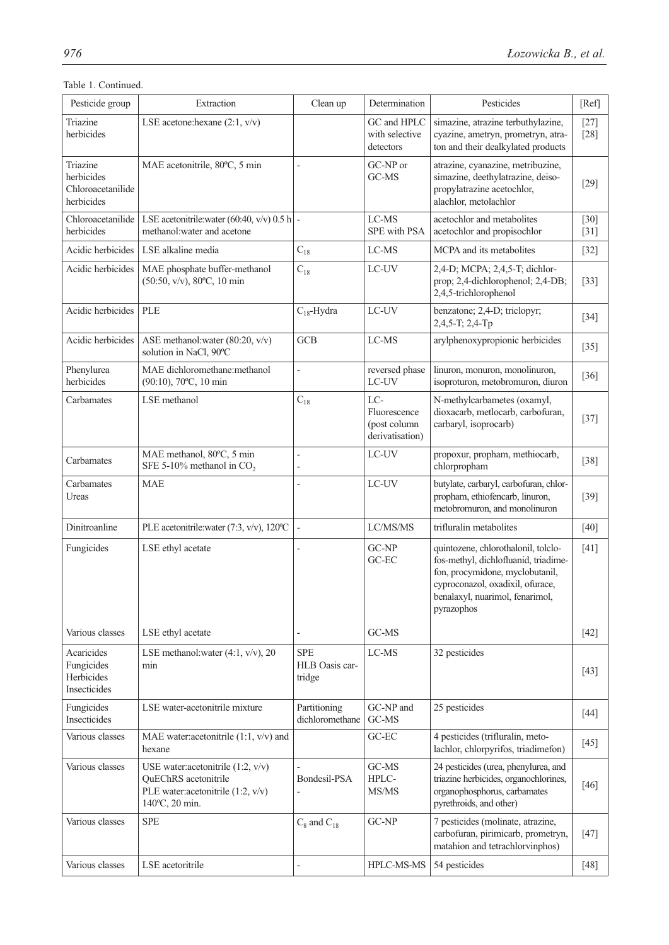## Table 1. Continued.

| Pesticide group                                           | Extraction                                                                                                          | Clean up                               | Determination                                          | Pesticides                                                                                                                                                                                          | [Ref]            |
|-----------------------------------------------------------|---------------------------------------------------------------------------------------------------------------------|----------------------------------------|--------------------------------------------------------|-----------------------------------------------------------------------------------------------------------------------------------------------------------------------------------------------------|------------------|
| Triazine<br>herbicides                                    | LSE acetone: hexane $(2:1, v/v)$                                                                                    |                                        | GC and HPLC<br>with selective<br>detectors             | simazine, atrazine terbuthylazine,<br>cyazine, ametryn, prometryn, atra-<br>ton and their dealkylated products                                                                                      | $[27]$<br>$[28]$ |
| Triazine<br>herbicides<br>Chloroacetanilide<br>herbicides | MAE acetonitrile, 80°C, 5 min                                                                                       | $\overline{a}$                         | GC-NP or<br>GC-MS                                      | atrazine, cyanazine, metribuzine,<br>simazine, deethylatrazine, deiso-<br>propylatrazine acetochlor,<br>alachlor, metolachlor                                                                       | $[29]$           |
| Chloroacetanilide<br>herbicides                           | LSE acetonitrile: water (60:40, v/v) 0.5 h -<br>methanol: water and acetone                                         |                                        | $LC-MS$<br>SPE with PSA                                | acetochlor and metabolites<br>acetochlor and propisochlor                                                                                                                                           | $[30]$<br>$[31]$ |
| Acidic herbicides                                         | LSE alkaline media                                                                                                  | $C_{18}$                               | LC-MS                                                  | MCPA and its metabolites                                                                                                                                                                            | $[32]$           |
| Acidic herbicides                                         | MAE phosphate buffer-methanol<br>(50:50, v/v), 80°C, 10 min                                                         | $C_{18}$                               | $_{\rm{LC-UV}}$                                        | 2,4-D; MCPA; 2,4,5-T; dichlor-<br>prop; 2,4-dichlorophenol; 2,4-DB;<br>2,4,5-trichlorophenol                                                                                                        | $[33]$           |
| Acidic herbicides                                         | PLE                                                                                                                 | $C_{18}$ -Hydra                        | LC-UV                                                  | benzatone; 2,4-D; triclopyr;<br>2,4,5-T; 2,4-Tp                                                                                                                                                     | $[34]$           |
| Acidic herbicides                                         | ASE methanol: water (80:20, v/v)<br>solution in NaCl, 90°C                                                          | <b>GCB</b>                             | LC-MS                                                  | arylphenoxypropionic herbicides                                                                                                                                                                     | $[35]$           |
| Phenylurea<br>herbicides                                  | MAE dichloromethane:methanol<br>(90:10), 70°C, 10 min                                                               | $\overline{a}$                         | reversed phase<br>LC-UV                                | linuron, monuron, monolinuron,<br>isoproturon, metobromuron, diuron                                                                                                                                 | $[36]$           |
| Carbamates                                                | LSE methanol                                                                                                        | $C_{18}$                               | LC-<br>Fluorescence<br>(post column<br>derivatisation) | N-methylcarbametes (oxamyl,<br>dioxacarb, metlocarb, carbofuran,<br>carbaryl, isoprocarb)                                                                                                           | $[37]$           |
| Carbamates                                                | MAE methanol, 80°C, 5 min<br>SFE 5-10% methanol in $CO2$                                                            | $\overline{a}$                         | LC-UV                                                  | propoxur, propham, methiocarb,<br>chlorpropham                                                                                                                                                      | $[38]$           |
| Carbamates<br>Ureas                                       | <b>MAE</b>                                                                                                          | $\overline{a}$                         | LC-UV                                                  | butylate, carbaryl, carbofuran, chlor-<br>propham, ethiofencarb, linuron,<br>metobromuron, and monolinuron                                                                                          | $[39]$           |
| Dinitroanline                                             | PLE acetonitrile: water (7:3, v/v), 120°C                                                                           |                                        | LC/MS/MS                                               | trifluralin metabolites                                                                                                                                                                             | $[40]$           |
| Fungicides                                                | LSE ethyl acetate                                                                                                   |                                        | GC-NP<br>GC-EC                                         | quintozene, chlorothalonil, tolclo-<br>fos-methyl, dichlofluanid, triadime-<br>fon, procymidone, myclobutanil,<br>cyproconazol, oxadixil, ofurace,<br>benalaxyl, nuarimol, fenarimol,<br>pyrazophos | $[41]$           |
| Various classes                                           | LSE ethyl acetate                                                                                                   |                                        | GC-MS                                                  |                                                                                                                                                                                                     | $[42]$           |
| Acaricides<br>Fungicides<br>Herbicides<br>Insecticides    | LSE methanol: water $(4:1, v/v)$ , 20<br>min                                                                        | <b>SPE</b><br>HLB Oasis car-<br>tridge | $_{\rm LC-MS}$                                         | 32 pesticides                                                                                                                                                                                       | $[43]$           |
| Fungicides<br>Insecticides                                | LSE water-acetonitrile mixture                                                                                      | Partitioning<br>dichloromethane        | GC-NP and<br>GC-MS                                     | 25 pesticides                                                                                                                                                                                       | $[44]$           |
| Various classes                                           | MAE water:acetonitrile $(1:1, v/v)$ and<br>hexane                                                                   |                                        | $GC-EC$                                                | 4 pesticides (trifluralin, meto-<br>lachlor, chlorpyrifos, triadimefon)                                                                                                                             | $[45]$           |
| Various classes                                           | USE water: acetonitrile $(1:2, v/v)$<br>QuEChRS acetonitrile<br>PLE water:acetonitrile (1:2, v/v)<br>140°C, 20 min. | Bondesil-PSA                           | GC-MS<br>HPLC-<br>MS/MS                                | 24 pesticides (urea, phenylurea, and<br>triazine herbicides, organochlorines,<br>organophosphorus, carbamates<br>pyrethroids, and other)                                                            | $[46]$           |
| Various classes                                           | <b>SPE</b>                                                                                                          | $C_8$ and $C_{18}$                     | GC-NP                                                  | 7 pesticides (molinate, atrazine,<br>carbofuran, pirimicarb, prometryn,<br>matahion and tetrachlorvinphos)                                                                                          | $[47]$           |
| Various classes                                           | LSE acetoritrile                                                                                                    | $\overline{a}$                         | HPLC-MS-MS                                             | 54 pesticides                                                                                                                                                                                       | $[48]$           |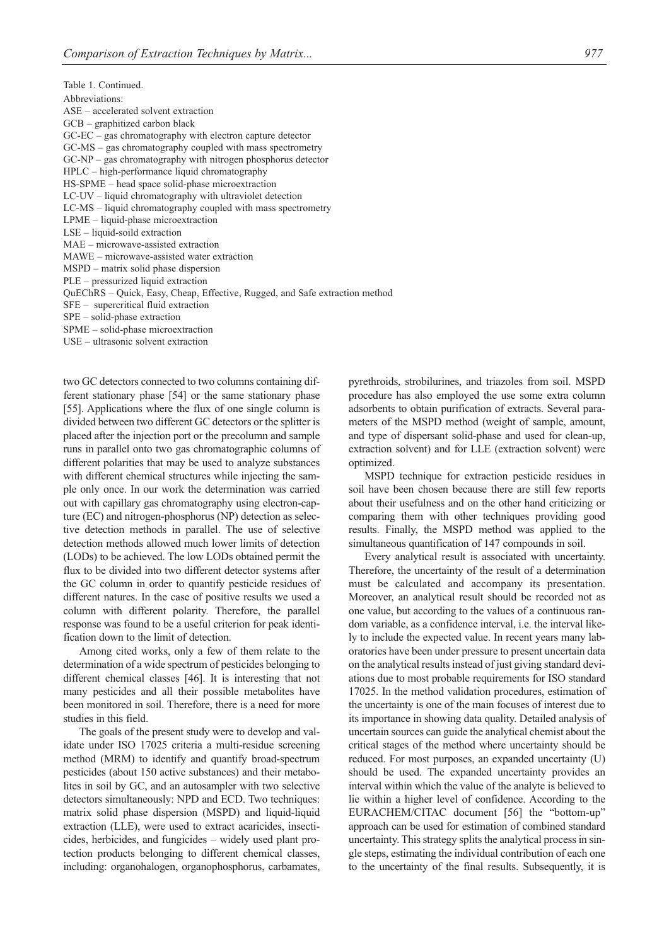Table 1. Continued. Abbreviations: ASE – accelerated solvent extraction GCB – graphitized carbon black GC-EC – gas chromatography with electron capture detector GC-MS – gas chromatography coupled with mass spectrometry GC-NP – gas chromatography with nitrogen phosphorus detector HPLC – high-performance liquid chromatography HS-SPME – head space solid-phase microextraction LC-UV – liquid chromatography with ultraviolet detection LC-MS – liquid chromatography coupled with mass spectrometry LPME – liquid-phase microextraction LSE – liquid-soild extraction MAE – microwave-assisted extraction MAWE – microwave-assisted water extraction MSPD – matrix solid phase dispersion PLE – pressurized liquid extraction QuEChRS – Quick, Easy, Cheap, Effective, Rugged, and Safe extraction method SFE – supercritical fluid extraction SPE – solid-phase extraction SPME – solid-phase microextraction USE – ultrasonic solvent extraction

two GC detectors connected to two columns containing different stationary phase [54] or the same stationary phase [55]. Applications where the flux of one single column is divided between two different GC detectors or the splitter is placed after the injection port or the precolumn and sample runs in parallel onto two gas chromatographic columns of different polarities that may be used to analyze substances with different chemical structures while injecting the sample only once. In our work the determination was carried out with capillary gas chromatography using electron-capture (EC) and nitrogen-phosphorus (NP) detection as selective detection methods in parallel. The use of selective detection methods allowed much lower limits of detection (LODs) to be achieved. The low LODs obtained permit the flux to be divided into two different detector systems after the GC column in order to quantify pesticide residues of different natures. In the case of positive results we used a column with different polarity. Therefore, the parallel response was found to be a useful criterion for peak identification down to the limit of detection.

Among cited works, only a few of them relate to the determination of a wide spectrum of pesticides belonging to different chemical classes [46]. It is interesting that not many pesticides and all their possible metabolites have been monitored in soil. Therefore, there is a need for more studies in this field.

The goals of the present study were to develop and validate under ISO 17025 criteria a multi-residue screening method (MRM) to identify and quantify broad-spectrum pesticides (about 150 active substances) and their metabolites in soil by GC, and an autosampler with two selective detectors simultaneously: NPD and ECD. Two techniques: matrix solid phase dispersion (MSPD) and liquid-liquid extraction (LLE), were used to extract acaricides, insecticides, herbicides, and fungicides – widely used plant protection products belonging to different chemical classes, including: organohalogen, organophosphorus, carbamates, pyrethroids, strobilurines, and triazoles from soil. MSPD procedure has also employed the use some extra column adsorbents to obtain purification of extracts. Several parameters of the MSPD method (weight of sample, amount, and type of dispersant solid-phase and used for clean-up, extraction solvent) and for LLE (extraction solvent) were optimized.

MSPD technique for extraction pesticide residues in soil have been chosen because there are still few reports about their usefulness and on the other hand criticizing or comparing them with other techniques providing good results. Finally, the MSPD method was applied to the simultaneous quantification of 147 compounds in soil.

Every analytical result is associated with uncertainty. Therefore, the uncertainty of the result of a determination must be calculated and accompany its presentation. Moreover, an analytical result should be recorded not as one value, but according to the values of a continuous random variable, as a confidence interval, i.e. the interval likely to include the expected value. In recent years many laboratories have been under pressure to present uncertain data on the analytical results instead of just giving standard deviations due to most probable requirements for ISO standard 17025. In the method validation procedures, estimation of the uncertainty is one of the main focuses of interest due to its importance in showing data quality. Detailed analysis of uncertain sources can guide the analytical chemist about the critical stages of the method where uncertainty should be reduced. For most purposes, an expanded uncertainty (U) should be used. The expanded uncertainty provides an interval within which the value of the analyte is believed to lie within a higher level of confidence. According to the EURACHEM/CITAC document [56] the "bottom-up" approach can be used for estimation of combined standard uncertainty. This strategy splits the analytical process in single steps, estimating the individual contribution of each one to the uncertainty of the final results. Subsequently, it is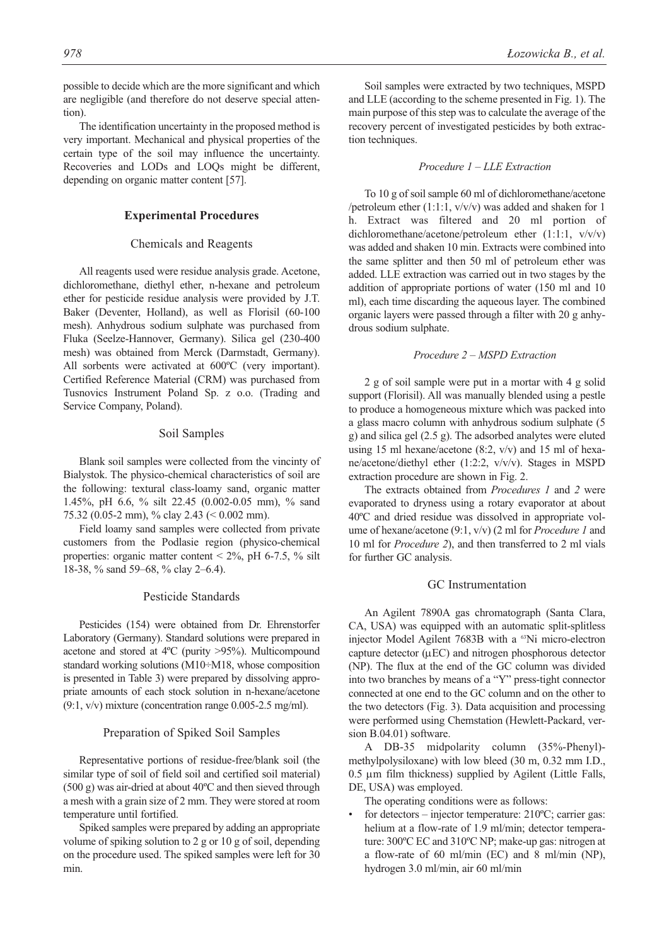possible to decide which are the more significant and which are negligible (and therefore do not deserve special attention).

The identification uncertainty in the proposed method is very important. Mechanical and physical properties of the certain type of the soil may influence the uncertainty. Recoveries and LODs and LOQs might be different, depending on organic matter content [57].

## **Experimental Procedures**

## Chemicals and Reagents

All reagents used were residue analysis grade. Acetone, dichloromethane, diethyl ether, n-hexane and petroleum ether for pesticide residue analysis were provided by J.T. Baker (Deventer, Holland), as well as Florisil (60-100 mesh). Anhydrous sodium sulphate was purchased from Fluka (Seelze-Hannover, Germany). Silica gel (230-400 mesh) was obtained from Merck (Darmstadt, Germany). All sorbents were activated at 600ºC (very important). Certified Reference Material (CRM) was purchased from Tusnovics Instrument Poland Sp. z o.o. (Trading and Service Company, Poland).

#### Soil Samples

Blank soil samples were collected from the vincinty of Bialystok. The physico-chemical characteristics of soil are the following: textural class-loamy sand, organic matter 1.45%, pH 6.6, % silt 22.45 (0.002-0.05 mm), % sand 75.32 (0.05-2 mm), % clay 2.43 (< 0.002 mm).

Field loamy sand samples were collected from private customers from the Podlasie region (physico-chemical properties: organic matter content  $\leq 2\%$ , pH 6-7.5,  $\%$  silt 18-38, % sand 59–68, % clay 2–6.4).

## Pesticide Standards

Pesticides (154) were obtained from Dr. Ehrenstorfer Laboratory (Germany). Standard solutions were prepared in acetone and stored at 4ºC (purity >95%). Multicompound standard working solutions (M10÷M18, whose composition is presented in Table 3) were prepared by dissolving appropriate amounts of each stock solution in n-hexane/acetone (9:1, v/v) mixture (concentration range 0.005-2.5 mg/ml).

## Preparation of Spiked Soil Samples

Representative portions of residue-free/blank soil (the similar type of soil of field soil and certified soil material) (500 g) was air-dried at about 40ºC and then sieved through a mesh with a grain size of 2 mm. They were stored at room temperature until fortified.

Spiked samples were prepared by adding an appropriate volume of spiking solution to 2 g or 10 g of soil, depending on the procedure used. The spiked samples were left for 30 min.

Soil samples were extracted by two techniques, MSPD and LLE (according to the scheme presented in Fig. 1). The main purpose of this step was to calculate the average of the recovery percent of investigated pesticides by both extraction techniques.

#### *Procedure 1 – LLE Extraction*

To 10 g of soil sample 60 ml of dichloromethane/acetone /petroleum ether (1:1:1, v/v/v) was added and shaken for 1 h. Extract was filtered and 20 ml portion of dichloromethane/acetone/petroleum ether (1:1:1, v/v/v) was added and shaken 10 min. Extracts were combined into the same splitter and then 50 ml of petroleum ether was added. LLE extraction was carried out in two stages by the addition of appropriate portions of water (150 ml and 10 ml), each time discarding the aqueous layer. The combined organic layers were passed through a filter with 20 g anhydrous sodium sulphate.

#### *Procedure 2 – MSPD Extraction*

2 g of soil sample were put in a mortar with 4 g solid support (Florisil). All was manually blended using a pestle to produce a homogeneous mixture which was packed into a glass macro column with anhydrous sodium sulphate (5 g) and silica gel (2.5 g). The adsorbed analytes were eluted using 15 ml hexane/acetone  $(8:2, v/v)$  and 15 ml of hexane/acetone/diethyl ether (1:2:2, v/v/v). Stages in MSPD extraction procedure are shown in Fig. 2.

The extracts obtained from *Procedures 1* and *2* were evaporated to dryness using a rotary evaporator at about 40ºC and dried residue was dissolved in appropriate volume of hexane/acetone (9:1, v/v) (2 ml for *Procedure 1* and 10 ml for *Procedure 2*), and then transferred to 2 ml vials for further GC analysis.

#### GC Instrumentation

An Agilent 7890A gas chromatograph (Santa Clara, CA, USA) was equipped with an automatic split-splitless injector Model Agilent 7683B with a <sup>63</sup>Ni micro-electron capture detector (μEC) and nitrogen phosphorous detector (NP). The flux at the end of the GC column was divided into two branches by means of a "Y" press-tight connector connected at one end to the GC column and on the other to the two detectors (Fig. 3). Data acquisition and processing were performed using Chemstation (Hewlett-Packard, version B.04.01) software.

A DB-35 midpolarity column (35%-Phenyl) methylpolysiloxane) with low bleed (30 m, 0.32 mm I.D., 0.5 μm film thickness) supplied by Agilent (Little Falls, DE, USA) was employed.

The operating conditions were as follows:

for detectors – injector temperature:  $210^{\circ}$ C; carrier gas: helium at a flow-rate of 1.9 ml/min; detector temperature: 300ºC EC and 310ºC NP; make-up gas: nitrogen at a flow-rate of 60 ml/min (EC) and 8 ml/min (NP), hydrogen 3.0 ml/min, air 60 ml/min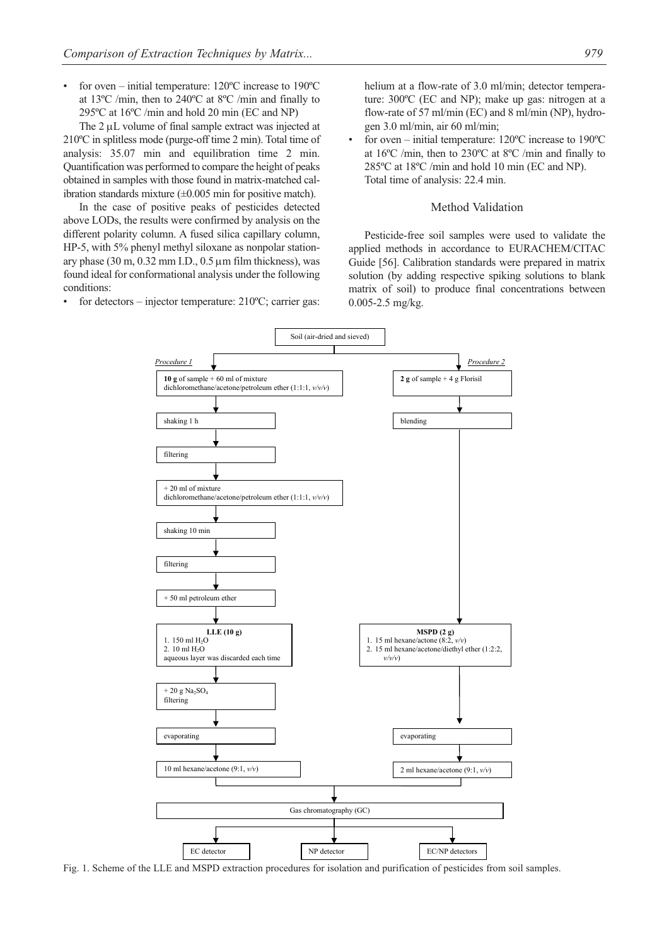for oven – initial temperature:  $120^{\circ}$ C increase to  $190^{\circ}$ C at 13ºC /min, then to 240ºC at 8ºC /min and finally to 295ºC at 16ºC /min and hold 20 min (EC and NP)

The 2 μL volume of final sample extract was injected at 210ºC in splitless mode (purge-off time 2 min). Total time of analysis: 35.07 min and equilibration time 2 min. Quantification was performed to compare the height of peaks obtained in samples with those found in matrix-matched calibration standards mixture (±0.005 min for positive match).

In the case of positive peaks of pesticides detected above LODs, the results were confirmed by analysis on the different polarity column. A fused silica capillary column, HP-5, with 5% phenyl methyl siloxane as nonpolar stationary phase (30 m, 0.32 mm I.D., 0.5 μm film thickness), was found ideal for conformational analysis under the following conditions:

for detectors – injector temperature:  $210^{\circ}$ C; carrier gas:

helium at a flow-rate of 3.0 ml/min; detector temperature: 300ºC (EC and NP); make up gas: nitrogen at a flow-rate of 57 ml/min (EC) and 8 ml/min (NP), hydrogen 3.0 ml/min, air 60 ml/min;

• for oven – initial temperature: 120ºC increase to 190ºC at 16ºC /min, then to 230ºC at 8ºC /min and finally to 285ºC at 18ºC /min and hold 10 min (EC and NP). Total time of analysis: 22.4 min.

#### Method Validation

Pesticide-free soil samples were used to validate the applied methods in accordance to EURACHEM/CITAC Guide [56]. Calibration standards were prepared in matrix solution (by adding respective spiking solutions to blank matrix of soil) to produce final concentrations between 0.005-2.5 mg/kg.



Fig. 1. Scheme of the LLE and MSPD extraction procedures for isolation and purification of pesticides from soil samples.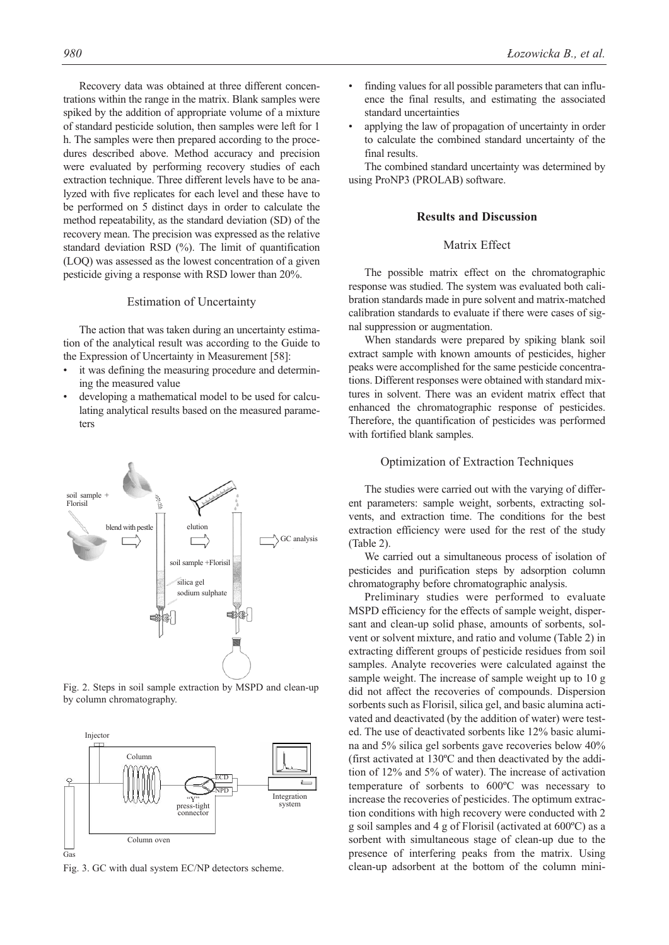Recovery data was obtained at three different concentrations within the range in the matrix. Blank samples were spiked by the addition of appropriate volume of a mixture of standard pesticide solution, then samples were left for 1 h. The samples were then prepared according to the procedures described above. Method accuracy and precision were evaluated by performing recovery studies of each extraction technique. Three different levels have to be analyzed with five replicates for each level and these have to be performed on 5 distinct days in order to calculate the method repeatability, as the standard deviation (SD) of the recovery mean. The precision was expressed as the relative standard deviation RSD (%). The limit of quantification (LOQ) was assessed as the lowest concentration of a given pesticide giving a response with RSD lower than 20%.

#### Estimation of Uncertainty

The action that was taken during an uncertainty estimation of the analytical result was according to the Guide to the Expression of Uncertainty in Measurement [58]:

- it was defining the measuring procedure and determining the measured value
- developing a mathematical model to be used for calculating analytical results based on the measured parameters



Fig. 2. Steps in soil sample extraction by MSPD and clean-up by column chromatography.



Fig. 3. GC with dual system EC/NP detectors scheme.

- finding values for all possible parameters that can influence the final results, and estimating the associated standard uncertainties
- applying the law of propagation of uncertainty in order to calculate the combined standard uncertainty of the final results.

The combined standard uncertainty was determined by using ProNP3 (PROLAB) software.

#### **Results and Discussion**

## Matrix Effect

The possible matrix effect on the chromatographic response was studied. The system was evaluated both calibration standards made in pure solvent and matrix-matched calibration standards to evaluate if there were cases of signal suppression or augmentation.

When standards were prepared by spiking blank soil extract sample with known amounts of pesticides, higher peaks were accomplished for the same pesticide concentrations. Different responses were obtained with standard mixtures in solvent. There was an evident matrix effect that enhanced the chromatographic response of pesticides. Therefore, the quantification of pesticides was performed with fortified blank samples.

#### Optimization of Extraction Techniques

The studies were carried out with the varying of different parameters: sample weight, sorbents, extracting solvents, and extraction time. The conditions for the best extraction efficiency were used for the rest of the study (Table 2).

We carried out a simultaneous process of isolation of pesticides and purification steps by adsorption column chromatography before chromatographic analysis.

Preliminary studies were performed to evaluate MSPD efficiency for the effects of sample weight, dispersant and clean-up solid phase, amounts of sorbents, solvent or solvent mixture, and ratio and volume (Table 2) in extracting different groups of pesticide residues from soil samples. Analyte recoveries were calculated against the sample weight. The increase of sample weight up to 10 g did not affect the recoveries of compounds. Dispersion sorbents such as Florisil, silica gel, and basic alumina activated and deactivated (by the addition of water) were tested. The use of deactivated sorbents like 12% basic alumina and 5% silica gel sorbents gave recoveries below 40% (first activated at 130ºC and then deactivated by the addition of 12% and 5% of water). The increase of activation temperature of sorbents to 600ºC was necessary to increase the recoveries of pesticides. The optimum extraction conditions with high recovery were conducted with 2 g soil samples and 4 g of Florisil (activated at 600ºC) as a sorbent with simultaneous stage of clean-up due to the presence of interfering peaks from the matrix. Using clean-up adsorbent at the bottom of the column mini-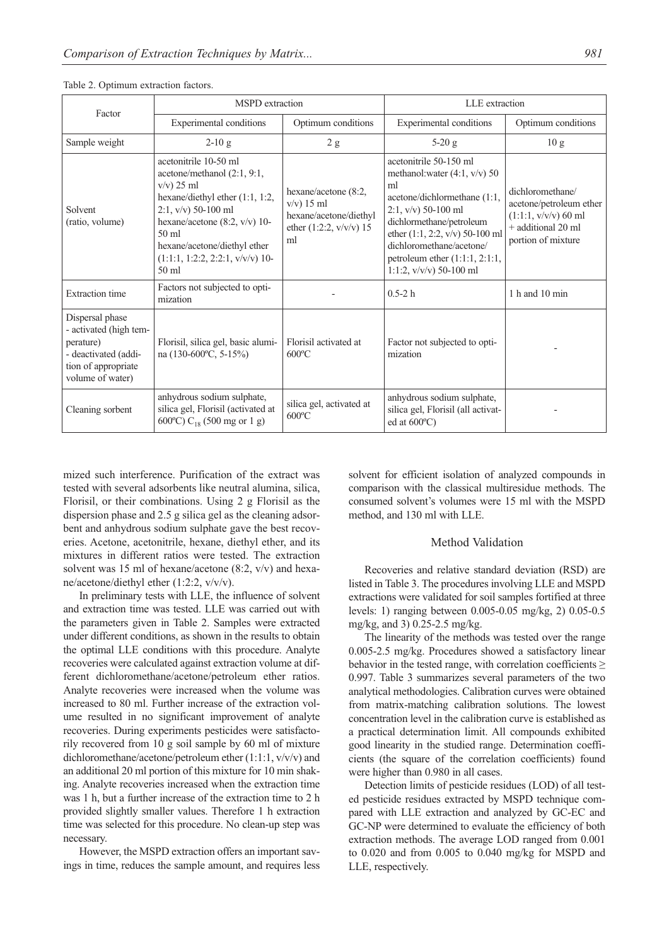| Factor                                                                                                                    | <b>MSPD</b> extraction                                                                                                                                                                                                                                                              |                                                                                                    | LLE extraction                                                                                                                                                                                                                                                                         |                                                                                                                   |  |  |
|---------------------------------------------------------------------------------------------------------------------------|-------------------------------------------------------------------------------------------------------------------------------------------------------------------------------------------------------------------------------------------------------------------------------------|----------------------------------------------------------------------------------------------------|----------------------------------------------------------------------------------------------------------------------------------------------------------------------------------------------------------------------------------------------------------------------------------------|-------------------------------------------------------------------------------------------------------------------|--|--|
|                                                                                                                           | Experimental conditions                                                                                                                                                                                                                                                             | Optimum conditions                                                                                 | Experimental conditions                                                                                                                                                                                                                                                                | Optimum conditions                                                                                                |  |  |
| Sample weight                                                                                                             | $2-10g$                                                                                                                                                                                                                                                                             | 2 g                                                                                                | $5-20$ g                                                                                                                                                                                                                                                                               | 10g                                                                                                               |  |  |
| Solvent<br>(ratio, volume)                                                                                                | acetonitrile 10-50 ml<br>$acetone/methanol$ (2:1, 9:1,<br>$v/v$ ) 25 ml<br>hexane/diethyl ether (1:1, 1:2,<br>$2:1$ , v/v) 50-100 ml<br>hexane/acetone $(8:2, v/v)$ 10-<br>$50 \text{ ml}$<br>hexane/acetone/diethyl ether<br>$(1:1:1, 1:2:2, 2:2:1, v/v/v)$ 10-<br>$50 \text{ ml}$ | hexane/acetone (8:2,<br>$v/v$ ) 15 ml<br>hexane/acetone/diethyl<br>ether $(1:2:2, v/v/v)$ 15<br>ml | acetonitrile 50-150 ml<br>methanol: water $(4:1, v/v)$ 50<br>ml<br>acetone/dichlormethane (1:1,<br>$2:1$ , v/v) 50-100 ml<br>dichlormethane/petroleum<br>ether (1:1, 2:2, v/v) 50-100 ml<br>dichloromethane/acetone/<br>petroleum ether $(1:1:1, 2:1:1,$<br>1:1:2, $v/v/v$ ) 50-100 ml | dichloromethane/<br>acetone/petroleum ether<br>$(1:1:1, v/v/v)$ 60 ml<br>+ additional 20 ml<br>portion of mixture |  |  |
| <b>Extraction</b> time                                                                                                    | Factors not subjected to opti-<br>mization                                                                                                                                                                                                                                          |                                                                                                    | $0.5 - 2h$                                                                                                                                                                                                                                                                             | 1 h and 10 min                                                                                                    |  |  |
| Dispersal phase<br>- activated (high tem-<br>perature)<br>- deactivated (addi-<br>tion of appropriate<br>volume of water) | Florisil, silica gel, basic alumi-<br>na (130-600°C, 5-15%)                                                                                                                                                                                                                         | Florisil activated at<br>$600^{\circ}$ C                                                           | Factor not subjected to opti-<br>mization                                                                                                                                                                                                                                              |                                                                                                                   |  |  |
| Cleaning sorbent                                                                                                          | anhydrous sodium sulphate,<br>silica gel, Florisil (activated at<br>600°C) C <sub>18</sub> (500 mg or 1 g)                                                                                                                                                                          | silica gel, activated at<br>$600^{\circ}$ C                                                        | anhydrous sodium sulphate,<br>silica gel, Florisil (all activat-<br>ed at $600^{\circ}$ C)                                                                                                                                                                                             |                                                                                                                   |  |  |

#### Table 2. Optimum extraction factors.

mized such interference. Purification of the extract was tested with several adsorbents like neutral alumina, silica, Florisil, or their combinations. Using 2 g Florisil as the dispersion phase and 2.5 g silica gel as the cleaning adsorbent and anhydrous sodium sulphate gave the best recoveries. Acetone, acetonitrile, hexane, diethyl ether, and its mixtures in different ratios were tested. The extraction solvent was 15 ml of hexane/acetone (8:2, v/v) and hexane/acetone/diethyl ether (1:2:2, v/v/v).

In preliminary tests with LLE, the influence of solvent and extraction time was tested. LLE was carried out with the parameters given in Table 2. Samples were extracted under different conditions, as shown in the results to obtain the optimal LLE conditions with this procedure. Analyte recoveries were calculated against extraction volume at different dichloromethane/acetone/petroleum ether ratios. Analyte recoveries were increased when the volume was increased to 80 ml. Further increase of the extraction volume resulted in no significant improvement of analyte recoveries. During experiments pesticides were satisfactorily recovered from 10 g soil sample by 60 ml of mixture dichloromethane/acetone/petroleum ether (1:1:1, v/v/v) and an additional 20 ml portion of this mixture for 10 min shaking. Analyte recoveries increased when the extraction time was 1 h, but a further increase of the extraction time to 2 h provided slightly smaller values. Therefore 1 h extraction time was selected for this procedure. No clean-up step was necessary.

However, the MSPD extraction offers an important savings in time, reduces the sample amount, and requires less solvent for efficient isolation of analyzed compounds in comparison with the classical multiresidue methods. The consumed solvent's volumes were 15 ml with the MSPD method, and 130 ml with LLE.

#### Method Validation

Recoveries and relative standard deviation (RSD) are listed in Table 3. The procedures involving LLE and MSPD extractions were validated for soil samples fortified at three levels: 1) ranging between 0.005-0.05 mg/kg, 2) 0.05-0.5 mg/kg, and 3) 0.25-2.5 mg/kg.

The linearity of the methods was tested over the range 0.005-2.5 mg/kg. Procedures showed a satisfactory linear behavior in the tested range, with correlation coefficients  $\geq$ 0.997. Table 3 summarizes several parameters of the two analytical methodologies. Calibration curves were obtained from matrix-matching calibration solutions. The lowest concentration level in the calibration curve is established as a practical determination limit. All compounds exhibited good linearity in the studied range. Determination coefficients (the square of the correlation coefficients) found were higher than 0.980 in all cases.

Detection limits of pesticide residues (LOD) of all tested pesticide residues extracted by MSPD technique compared with LLE extraction and analyzed by GC-EC and GC-NP were determined to evaluate the efficiency of both extraction methods. The average LOD ranged from 0.001 to 0.020 and from 0.005 to 0.040 mg/kg for MSPD and LLE, respectively.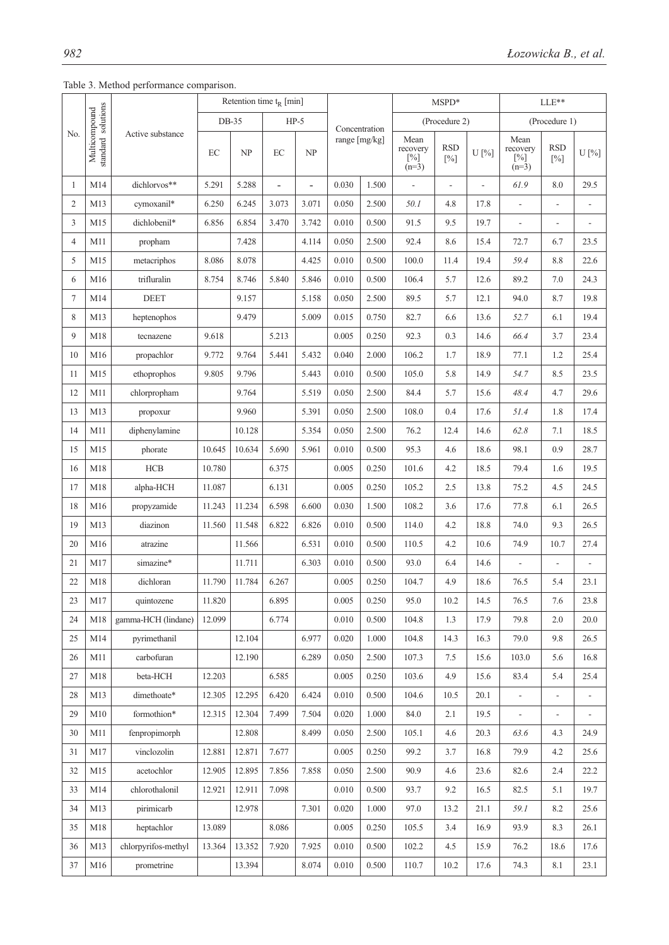Table 3. Method performance comparison.

|                |                                     |                     | Retention time $t_R$ [min] |        |                          |        |       | $MSPD*$       |       |                      | $LLE**$        |                                       |                              |                          |
|----------------|-------------------------------------|---------------------|----------------------------|--------|--------------------------|--------|-------|---------------|-------|----------------------|----------------|---------------------------------------|------------------------------|--------------------------|
|                |                                     |                     |                            | DB-35  |                          | $HP-5$ |       | Concentration |       | (Procedure 2)        |                |                                       | (Procedure 1)                |                          |
| No.            | standard solutions<br>Multicompound | Active substance    | EC                         | NP     | EC                       | NP     |       | range [mg/kg] |       | <b>RSD</b><br>$[\%]$ | U[%]           | Mean<br>recovery<br>$[\%]$<br>$(n=3)$ | <b>RSD</b><br>$[\%]$         | U[%]                     |
| 1              | M14                                 | dichlorvos**        | 5.291                      | 5.288  | $\overline{\phantom{0}}$ | ÷,     | 0.030 | 1.500         | L,    | $\frac{1}{2}$        | $\overline{a}$ | 61.9                                  | $8.0\,$                      | 29.5                     |
| $\mathfrak{2}$ | M13                                 | cymoxanil*          | 6.250                      | 6.245  | 3.073                    | 3.071  | 0.050 | 2.500         | 50.1  | 4.8                  | 17.8           | $\frac{1}{2}$                         | $\blacksquare$               | $\overline{\phantom{a}}$ |
| 3              | M15                                 | dichlobenil*        | 6.856                      | 6.854  | 3.470                    | 3.742  | 0.010 | 0.500         | 91.5  | 9.5                  | 19.7           | ÷,                                    | $\overline{a}$               | ÷,                       |
| $\overline{4}$ | M11                                 | propham             |                            | 7.428  |                          | 4.114  | 0.050 | 2.500         | 92.4  | 8.6                  | 15.4           | 72.7                                  | 6.7                          | 23.5                     |
| 5              | M15                                 | metacriphos         | 8.086                      | 8.078  |                          | 4.425  | 0.010 | 0.500         | 100.0 | 11.4                 | 19.4           | 59.4                                  | 8.8                          | 22.6                     |
| 6              | M16                                 | trifluralin         | 8.754                      | 8.746  | 5.840                    | 5.846  | 0.010 | 0.500         | 106.4 | 5.7                  | 12.6           | 89.2                                  | 7.0                          | 24.3                     |
| $\tau$         | M14                                 | $\rm{DEET}$         |                            | 9.157  |                          | 5.158  | 0.050 | 2.500         | 89.5  | 5.7                  | 12.1           | 94.0                                  | 8.7                          | 19.8                     |
| 8              | M13                                 | heptenophos         |                            | 9.479  |                          | 5.009  | 0.015 | 0.750         | 82.7  | 6.6                  | 13.6           | 52.7                                  | 6.1                          | 19.4                     |
| 9              | M18                                 | tecnazene           | 9.618                      |        | 5.213                    |        | 0.005 | 0.250         | 92.3  | 0.3                  | 14.6           | 66.4                                  | 3.7                          | 23.4                     |
| 10             | M16                                 | propachlor          | 9.772                      | 9.764  | 5.441                    | 5.432  | 0.040 | 2.000         | 106.2 | 1.7                  | 18.9           | 77.1                                  | 1.2                          | 25.4                     |
| 11             | M15                                 | ethoprophos         | 9.805                      | 9.796  |                          | 5.443  | 0.010 | 0.500         | 105.0 | 5.8                  | 14.9           | 54.7                                  | 8.5                          | 23.5                     |
| 12             | M11                                 | chlorpropham        |                            | 9.764  |                          | 5.519  | 0.050 | 2.500         | 84.4  | 5.7                  | 15.6           | 48.4                                  | 4.7                          | 29.6                     |
| 13             | M13                                 | propoxur            |                            | 9.960  |                          | 5.391  | 0.050 | 2.500         | 108.0 | 0.4                  | 17.6           | 51.4                                  | 1.8                          | 17.4                     |
| 14             | M11                                 | diphenylamine       |                            | 10.128 |                          | 5.354  | 0.050 | 2.500         | 76.2  | 12.4                 | 14.6           | 62.8                                  | 7.1                          | 18.5                     |
| 15             | M15                                 | phorate             | 10.645                     | 10.634 | 5.690                    | 5.961  | 0.010 | 0.500         | 95.3  | 4.6                  | 18.6           | 98.1                                  | 0.9                          | 28.7                     |
| 16             | M18                                 | ${\rm HCB}$         | 10.780                     |        | 6.375                    |        | 0.005 | 0.250         | 101.6 | 4.2                  | 18.5           | 79.4                                  | 1.6                          | 19.5                     |
| 17             | M18                                 | alpha-HCH           | 11.087                     |        | 6.131                    |        | 0.005 | 0.250         | 105.2 | 2.5                  | 13.8           | 75.2                                  | 4.5                          | 24.5                     |
| 18             | M16                                 | propyzamide         | 11.243                     | 11.234 | 6.598                    | 6.600  | 0.030 | 1.500         | 108.2 | 3.6                  | 17.6           | 77.8                                  | 6.1                          | 26.5                     |
| 19             | M13                                 | diazinon            | 11.560                     | 11.548 | 6.822                    | 6.826  | 0.010 | 0.500         | 114.0 | 4.2                  | 18.8           | 74.0                                  | 9.3                          | 26.5                     |
| 20             | M16                                 | atrazine            |                            | 11.566 |                          | 6.531  | 0.010 | 0.500         | 110.5 | 4.2                  | 10.6           | 74.9                                  | 10.7                         | 27.4                     |
| 21             | M17                                 | simazine*           |                            | 11.711 |                          | 6.303  | 0.010 | 0.500         | 93.0  | 6.4                  | 14.6           | $\overline{a}$                        | L,                           | $\overline{a}$           |
| 22             | M18                                 | dichloran           | 11.790                     | 11.784 | 6.267                    |        | 0.005 | 0.250         | 104.7 | 4.9                  | 18.6           | 76.5                                  | 5.4                          | 23.1                     |
| 23             | M17                                 | quintozene          | 11.820                     |        | 6.895                    |        | 0.005 | 0.250         | 95.0  | 10.2                 | 14.5           | 76.5                                  | 7.6                          | 23.8                     |
| 24             | M18                                 | gamma-HCH (lindane) | 12.099                     |        | 6.774                    |        | 0.010 | 0.500         | 104.8 | 1.3                  | 17.9           | 79.8                                  | 2.0                          | 20.0                     |
| 25             | M14                                 | pyrimethanil        |                            | 12.104 |                          | 6.977  | 0.020 | 1.000         | 104.8 | 14.3                 | 16.3           | 79.0                                  | 9.8                          | 26.5                     |
| 26             | M11                                 | carbofuran          |                            | 12.190 |                          | 6.289  | 0.050 | 2.500         | 107.3 | 7.5                  | 15.6           | 103.0                                 | 5.6                          | 16.8                     |
| 27             | M18                                 | beta-HCH            | 12.203                     |        | 6.585                    |        | 0.005 | 0.250         | 103.6 | 4.9                  | 15.6           | 83.4                                  | 5.4                          | 25.4                     |
| 28             | M13                                 | dimethoate*         | 12.305                     | 12.295 | 6.420                    | 6.424  | 0.010 | 0.500         | 104.6 | 10.5                 | 20.1           | $\frac{1}{2}$                         | $\blacksquare$               | $\blacksquare$           |
| 29             | M10                                 | formothion*         | 12.315                     | 12.304 | 7.499                    | 7.504  | 0.020 | 1.000         | 84.0  | 2.1                  | 19.5           | $\overline{\phantom{0}}$              | $\qquad \qquad \blacksquare$ |                          |
| 30             | M11                                 | fenpropimorph       |                            | 12.808 |                          | 8.499  | 0.050 | 2.500         | 105.1 | 4.6                  | 20.3           | 63.6                                  | 4.3                          | 24.9                     |
| 31             | M17                                 | vinclozolin         | 12.881                     | 12.871 | 7.677                    |        | 0.005 | 0.250         | 99.2  | 3.7                  | 16.8           | 79.9                                  | 4.2                          | 25.6                     |
| 32             | M15                                 | acetochlor          | 12.905                     | 12.895 | 7.856                    | 7.858  | 0.050 | 2.500         | 90.9  | 4.6                  | 23.6           | 82.6                                  | 2.4                          | 22.2                     |
| 33             | M14                                 | chlorothalonil      | 12.921                     | 12.911 | 7.098                    |        | 0.010 | 0.500         | 93.7  | 9.2                  | 16.5           | 82.5                                  | 5.1                          | 19.7                     |
| 34             | M13                                 | pirimicarb          |                            | 12.978 |                          | 7.301  | 0.020 | 1.000         | 97.0  | 13.2                 | 21.1           | 59.1                                  | 8.2                          | 25.6                     |
| 35             | M18                                 | heptachlor          | 13.089                     |        | 8.086                    |        | 0.005 | 0.250         | 105.5 | 3.4                  | 16.9           | 93.9                                  | 8.3                          | 26.1                     |
| 36             | M13                                 | chlorpyrifos-methyl | 13.364                     | 13.352 | 7.920                    | 7.925  | 0.010 | 0.500         | 102.2 | 4.5                  | 15.9           | 76.2                                  | 18.6                         | 17.6                     |
| 37             | M16                                 | prometrine          |                            | 13.394 |                          | 8.074  | 0.010 | 0.500         | 110.7 | 10.2                 | 17.6           | 74.3                                  | 8.1                          | 23.1                     |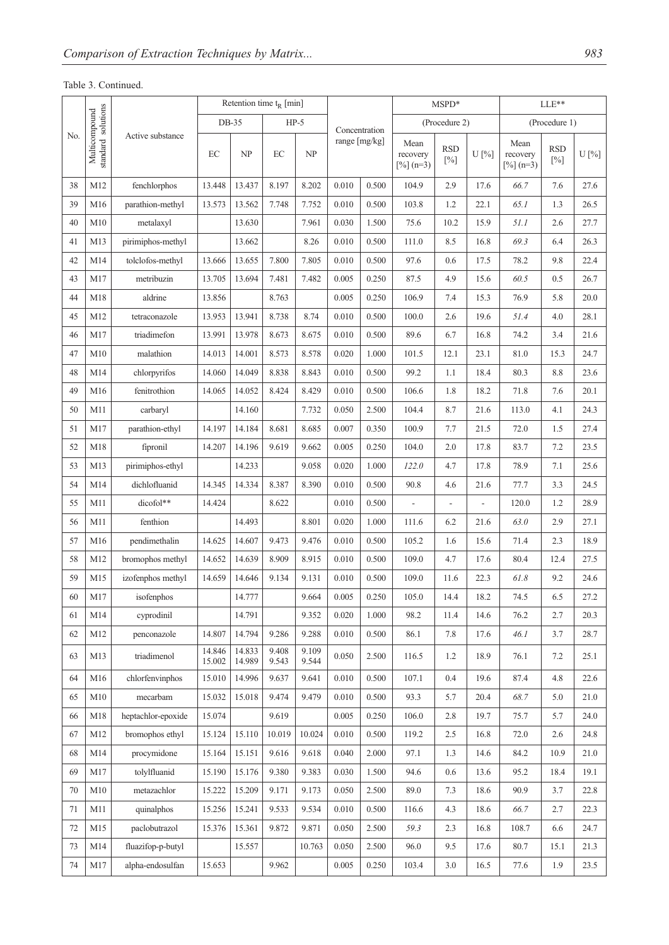## Table 3. Continued.

|     |                                     |                    | Retention time $t_R$ [min] |                  |                |                |               | MSPD*         |                                             |                      | $LLE**$ |                                 |                      |         |
|-----|-------------------------------------|--------------------|----------------------------|------------------|----------------|----------------|---------------|---------------|---------------------------------------------|----------------------|---------|---------------------------------|----------------------|---------|
|     |                                     |                    |                            | DB-35            | $HP-5$         |                |               | Concentration |                                             | (Procedure 2)        |         |                                 | (Procedure 1)        |         |
| No. | standard solutions<br>Multicompound | Active substance   | $\rm EC$                   | NP               | EC             | NP             | range [mg/kg] |               | Mean<br>recovery<br>$\lceil\% \rceil$ (n=3) | <b>RSD</b><br>$[\%]$ | U[%]    | Mean<br>recovery<br>$[%]$ (n=3) | <b>RSD</b><br>$[\%]$ | $U$ [%] |
| 38  | M12                                 | fenchlorphos       | 13.448                     | 13.437           | 8.197          | 8.202          | 0.010         | 0.500         | 104.9                                       | 2.9                  | 17.6    | 66.7                            | 7.6                  | 27.6    |
| 39  | M16                                 | parathion-methyl   | 13.573                     | 13.562           | 7.748          | 7.752          | 0.010         | 0.500         | 103.8                                       | 1.2                  | 22.1    | 65.1                            | 1.3                  | 26.5    |
| 40  | M10                                 | metalaxyl          |                            | 13.630           |                | 7.961          | 0.030         | 1.500         | 75.6                                        | 10.2                 | 15.9    | 51.1                            | 2.6                  | 27.7    |
| 41  | M13                                 | pirimiphos-methyl  |                            | 13.662           |                | 8.26           | 0.010         | 0.500         | 111.0                                       | 8.5                  | 16.8    | 69.3                            | 6.4                  | 26.3    |
| 42  | M14                                 | tolclofos-methyl   | 13.666                     | 13.655           | 7.800          | 7.805          | 0.010         | 0.500         | 97.6                                        | 0.6                  | 17.5    | 78.2                            | 9.8                  | 22.4    |
| 43  | M17                                 | metribuzin         | 13.705                     | 13.694           | 7.481          | 7.482          | 0.005         | 0.250         | 87.5                                        | 4.9                  | 15.6    | 60.5                            | 0.5                  | 26.7    |
| 44  | M18                                 | aldrine            | 13.856                     |                  | 8.763          |                | 0.005         | 0.250         | 106.9                                       | 7.4                  | 15.3    | 76.9                            | 5.8                  | 20.0    |
| 45  | M12                                 | tetraconazole      | 13.953                     | 13.941           | 8.738          | 8.74           | 0.010         | 0.500         | 100.0                                       | 2.6                  | 19.6    | 51.4                            | 4.0                  | 28.1    |
| 46  | M17                                 | triadimefon        | 13.991                     | 13.978           | 8.673          | 8.675          | 0.010         | 0.500         | 89.6                                        | 6.7                  | 16.8    | 74.2                            | 3.4                  | 21.6    |
| 47  | M10                                 | malathion          | 14.013                     | 14.001           | 8.573          | 8.578          | 0.020         | 1.000         | 101.5                                       | 12.1                 | 23.1    | 81.0                            | 15.3                 | 24.7    |
| 48  | M14                                 | chlorpyrifos       | 14.060                     | 14.049           | 8.838          | 8.843          | 0.010         | 0.500         | 99.2                                        | 1.1                  | 18.4    | 80.3                            | 8.8                  | 23.6    |
| 49  | M16                                 | fenitrothion       | 14.065                     | 14.052           | 8.424          | 8.429          | 0.010         | 0.500         | 106.6                                       | 1.8                  | 18.2    | 71.8                            | 7.6                  | 20.1    |
| 50  | M11                                 | carbaryl           |                            | 14.160           |                | 7.732          | 0.050         | 2.500         | 104.4                                       | 8.7                  | 21.6    | 113.0                           | 4.1                  | 24.3    |
| 51  | M17                                 | parathion-ethyl    | 14.197                     | 14.184           | 8.681          | 8.685          | 0.007         | 0.350         | 100.9                                       | 7.7                  | 21.5    | 72.0                            | 1.5                  | 27.4    |
| 52  | M18                                 | fipronil           | 14.207                     | 14.196           | 9.619          | 9.662          | 0.005         | 0.250         | 104.0                                       | 2.0                  | 17.8    | 83.7                            | 7.2                  | 23.5    |
| 53  | M13                                 | pirimiphos-ethyl   |                            | 14.233           |                | 9.058          | 0.020         | 1.000         | 122.0                                       | 4.7                  | 17.8    | 78.9                            | 7.1                  | 25.6    |
| 54  | M14                                 | dichlofluanid      | 14.345                     | 14.334           | 8.387          | 8.390          | 0.010         | 0.500         | 90.8                                        | 4.6                  | 21.6    | 77.7                            | 3.3                  | 24.5    |
| 55  | M11                                 | dicofol**          | 14.424                     |                  | 8.622          |                | 0.010         | 0.500         | $\overline{\phantom{a}}$                    | $\overline{a}$       |         | 120.0                           | 1.2                  | 28.9    |
| 56  | M11                                 | fenthion           |                            | 14.493           |                | 8.801          | 0.020         | 1.000         | 111.6                                       | 6.2                  | 21.6    | 63.0                            | 2.9                  | 27.1    |
| 57  | M16                                 | pendimethalin      | 14.625                     | 14.607           | 9.473          | 9.476          | 0.010         | 0.500         | 105.2                                       | 1.6                  | 15.6    | 71.4                            | 2.3                  | 18.9    |
| 58  | M12                                 | bromophos methyl   | 14.652                     | 14.639           | 8.909          | 8.915          | 0.010         | 0.500         | 109.0                                       | 4.7                  | 17.6    | 80.4                            | 12.4                 | 27.5    |
| 59  | M15                                 | izofenphos methyl  | 14.659                     | 14.646           | 9.134          | 9.131          | 0.010         | 0.500         | 109.0                                       | 11.6                 | 22.3    | 61.8                            | 9.2                  | 24.6    |
| 60  | $\rm M17$                           | isofenphos         |                            | 14.777           |                | 9.664          | 0.005         | 0.250         | 105.0                                       | 14.4                 | 18.2    | 74.5                            | 6.5                  | 27.2    |
| 61  | M14                                 | cyprodinil         |                            | 14.791           |                | 9.352          | 0.020         | 1.000         | 98.2                                        | 11.4                 | 14.6    | 76.2                            | 2.7                  | 20.3    |
| 62  | M12                                 | penconazole        | 14.807                     | 14.794           | 9.286          | 9.288          | 0.010         | 0.500         | 86.1                                        | 7.8                  | 17.6    | 46.1                            | 3.7                  | 28.7    |
| 63  | M13                                 | triadimenol        | 14.846<br>15.002           | 14.833<br>14.989 | 9.408<br>9.543 | 9.109<br>9.544 | 0.050         | 2.500         | 116.5                                       | 1.2                  | 18.9    | 76.1                            | 7.2                  | 25.1    |
| 64  | M16                                 | chlorfenvinphos    | 15.010                     | 14.996           | 9.637          | 9.641          | 0.010         | 0.500         | 107.1                                       | 0.4                  | 19.6    | 87.4                            | 4.8                  | 22.6    |
| 65  | M10                                 | mecarbam           | 15.032                     | 15.018           | 9.474          | 9.479          | 0.010         | 0.500         | 93.3                                        | 5.7                  | 20.4    | 68.7                            | 5.0                  | 21.0    |
| 66  | M18                                 | heptachlor-epoxide | 15.074                     |                  | 9.619          |                | 0.005         | 0.250         | 106.0                                       | 2.8                  | 19.7    | 75.7                            | 5.7                  | 24.0    |
| 67  | M12                                 | bromophos ethyl    | 15.124                     | 15.110           | 10.019         | 10.024         | 0.010         | 0.500         | 119.2                                       | 2.5                  | 16.8    | 72.0                            | 2.6                  | 24.8    |
| 68  | M14                                 | procymidone        | 15.164                     | 15.151           | 9.616          | 9.618          | 0.040         | 2.000         | 97.1                                        | 1.3                  | 14.6    | 84.2                            | 10.9                 | 21.0    |
| 69  | M17                                 | tolylfluanid       | 15.190                     | 15.176           | 9.380          | 9.383          | 0.030         | 1.500         | 94.6                                        | 0.6                  | 13.6    | 95.2                            | 18.4                 | 19.1    |
| 70  | M10                                 | metazachlor        | 15.222                     | 15.209           | 9.171          | 9.173          | 0.050         | 2.500         | 89.0                                        | 7.3                  | 18.6    | 90.9                            | 3.7                  | 22.8    |
| 71  | M11                                 | quinalphos         | 15.256                     | 15.241           | 9.533          | 9.534          | 0.010         | 0.500         | 116.6                                       | 4.3                  | 18.6    | 66.7                            | 2.7                  | 22.3    |
| 72  | M15                                 | paclobutrazol      | 15.376                     | 15.361           | 9.872          | 9.871          | 0.050         | 2.500         | 59.3                                        | 2.3                  | 16.8    | 108.7                           | 6.6                  | 24.7    |
| 73  | M14                                 | fluazifop-p-butyl  |                            | 15.557           |                | 10.763         | 0.050         | 2.500         | 96.0                                        | 9.5                  | 17.6    | 80.7                            | 15.1                 | 21.3    |
| 74  | M17                                 | alpha-endosulfan   | 15.653                     |                  | 9.962          |                | 0.005         | 0.250         | 103.4                                       | 3.0                  | 16.5    | 77.6                            | 1.9                  | 23.5    |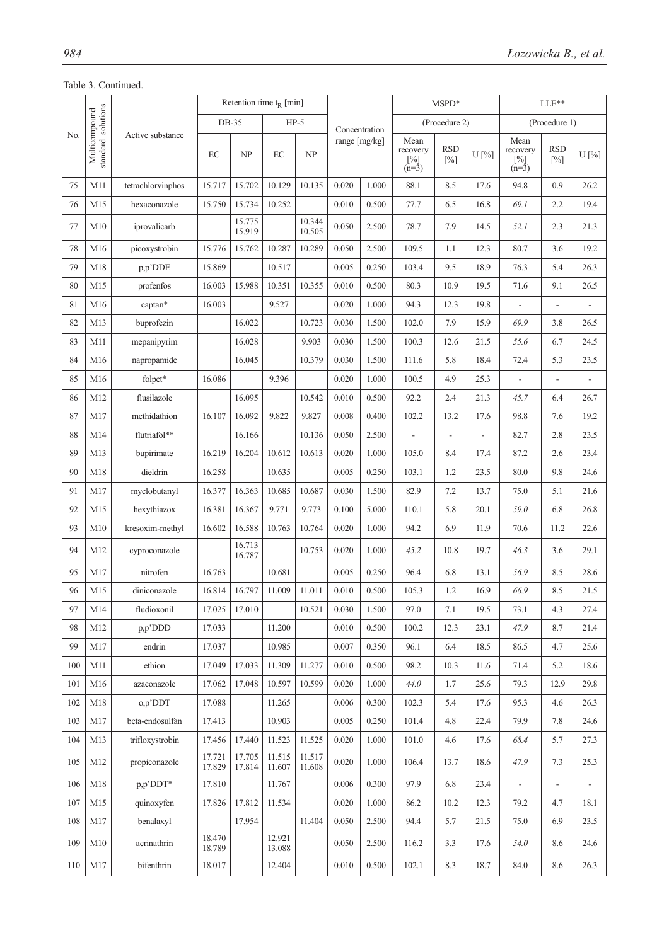## Table 3. Continued.

|     |                                     |                   |                  | Retention time $t_R$ [min] |                  |                  |               |               | MSPD*                                 |                      |      | LLE**                                 |                          |                |
|-----|-------------------------------------|-------------------|------------------|----------------------------|------------------|------------------|---------------|---------------|---------------------------------------|----------------------|------|---------------------------------------|--------------------------|----------------|
|     |                                     |                   |                  | $DB-35$                    |                  | $HP-5$           |               | Concentration |                                       | (Procedure 2)        |      |                                       | (Procedure 1)            |                |
| No. | Multicompound<br>standard solutions | Active substance  | EC               | NP                         | EC               | NP               | range [mg/kg] |               | Mean<br>recovery<br>$[\%]$<br>$(n=3)$ | <b>RSD</b><br>$[\%]$ | U[%] | Mean<br>recovery<br>$[\%]$<br>$(n=3)$ | <b>RSD</b><br>$[\%]$     | $U$ [%]        |
| 75  | M11                                 | tetrachlorvinphos | 15.717           | 15.702                     | 10.129           | 10.135           | 0.020         | 1.000         | 88.1                                  | 8.5                  | 17.6 | 94.8                                  | 0.9                      | 26.2           |
| 76  | M15                                 | hexaconazole      | 15.750           | 15.734                     | 10.252           |                  | 0.010         | 0.500         | 77.7                                  | 6.5                  | 16.8 | 69.1                                  | 2.2                      | 19.4           |
| 77  | M10                                 | iprovalicarb      |                  | 15.775<br>15.919           |                  | 10.344<br>10.505 | 0.050         | 2.500         | 78.7                                  | 7.9                  | 14.5 | 52.1                                  | 2.3                      | 21.3           |
| 78  | M16                                 | picoxystrobin     | 15.776           | 15.762                     | 10.287           | 10.289           | 0.050         | 2.500         | 109.5                                 | 1.1                  | 12.3 | 80.7                                  | 3.6                      | 19.2           |
| 79  | M18                                 | p,p'DDE           | 15.869           |                            | 10.517           |                  | 0.005         | 0.250         | 103.4                                 | 9.5                  | 18.9 | 76.3                                  | 5.4                      | 26.3           |
| 80  | M15                                 | profenfos         | 16.003           | 15.988                     | 10.351           | 10.355           | 0.010         | 0.500         | 80.3                                  | 10.9                 | 19.5 | 71.6                                  | 9.1                      | 26.5           |
| 81  | M16                                 | captan*           | 16.003           |                            | 9.527            |                  | 0.020         | 1.000         | 94.3                                  | 12.3                 | 19.8 |                                       | L,                       |                |
| 82  | M13                                 | buprofezin        |                  | 16.022                     |                  | 10.723           | 0.030         | 1.500         | 102.0                                 | 7.9                  | 15.9 | 69.9                                  | 3.8                      | 26.5           |
| 83  | M11                                 | mepanipyrim       |                  | 16.028                     |                  | 9.903            | 0.030         | 1.500         | 100.3                                 | 12.6                 | 21.5 | 55.6                                  | 6.7                      | 24.5           |
| 84  | M16                                 | napropamide       |                  | 16.045                     |                  | 10.379           | 0.030         | 1.500         | 111.6                                 | 5.8                  | 18.4 | 72.4                                  | 5.3                      | 23.5           |
| 85  | M16                                 | folpet*           | 16.086           |                            | 9.396            |                  | 0.020         | 1.000         | 100.5                                 | 4.9                  | 25.3 | L.                                    | $\overline{a}$           | $\overline{a}$ |
| 86  | M12                                 | flusilazole       |                  | 16.095                     |                  | 10.542           | 0.010         | 0.500         | 92.2                                  | 2.4                  | 21.3 | 45.7                                  | 6.4                      | 26.7           |
| 87  | M17                                 | methidathion      | 16.107           | 16.092                     | 9.822            | 9.827            | 0.008         | 0.400         | 102.2                                 | 13.2                 | 17.6 | 98.8                                  | 7.6                      | 19.2           |
| 88  | M14                                 | flutriafol**      |                  | 16.166                     |                  | 10.136           | 0.050         | 2.500         |                                       | $\overline{a}$       |      | 82.7                                  | 2.8                      | 23.5           |
| 89  | M13                                 | bupirimate        | 16.219           | 16.204                     | 10.612           | 10.613           | 0.020         | 1.000         | 105.0                                 | 8.4                  | 17.4 | 87.2                                  | 2.6                      | 23.4           |
| 90  | M18                                 | dieldrin          | 16.258           |                            | 10.635           |                  | 0.005         | 0.250         | 103.1                                 | 1.2                  | 23.5 | 80.0                                  | 9.8                      | 24.6           |
| 91  | M17                                 | myclobutanyl      | 16.377           | 16.363                     | 10.685           | 10.687           | 0.030         | 1.500         | 82.9                                  | 7.2                  | 13.7 | 75.0                                  | 5.1                      | 21.6           |
| 92  | M15                                 | hexythiazox       | 16.381           | 16.367                     | 9.771            | 9.773            | 0.100         | 5.000         | 110.1                                 | 5.8                  | 20.1 | 59.0                                  | 6.8                      | 26.8           |
| 93  | M10                                 | kresoxim-methyl   | 16.602           | 16.588                     | 10.763           | 10.764           | 0.020         | 1.000         | 94.2                                  | 6.9                  | 11.9 | 70.6                                  | 11.2                     | 22.6           |
| 94  | M12                                 | cyproconazole     |                  | 16.713<br>16.787           |                  | 10.753           | 0.020         | 1.000         | 45.2                                  | 10.8                 | 19.7 | 46.3                                  | 3.6                      | 29.1           |
| 95  | M17                                 | nitrofen          | 16.763           |                            | 10.681           |                  | 0.005         | 0.250         | 96.4                                  | 6.8                  | 13.1 | 56.9                                  | 8.5                      | 28.6           |
| 96  | M15                                 | diniconazole      | 16.814           | 16.797                     | 11.009           | 11.011           | 0.010         | 0.500         | 105.3                                 | 1.2                  | 16.9 | 66.9                                  | 8.5                      | 21.5           |
| 97  | M14                                 | fludioxonil       | 17.025           | 17.010                     |                  | 10.521           | 0.030         | 1.500         | 97.0                                  | 7.1                  | 19.5 | 73.1                                  | 4.3                      | 27.4           |
| 98  | M12                                 | p,p'DDD           | 17.033           |                            | 11.200           |                  | 0.010         | 0.500         | 100.2                                 | 12.3                 | 23.1 | 47.9                                  | 8.7                      | 21.4           |
| 99  | M17                                 | endrin            | 17.037           |                            | 10.985           |                  | 0.007         | 0.350         | 96.1                                  | 6.4                  | 18.5 | 86.5                                  | 4.7                      | 25.6           |
| 100 | M11                                 | ethion            | 17.049           | 17.033                     | 11.309           | 11.277           | 0.010         | 0.500         | 98.2                                  | 10.3                 | 11.6 | 71.4                                  | 5.2                      | 18.6           |
| 101 | M16                                 | azaconazole       | 17.062           | 17.048                     | 10.597           | 10.599           | 0.020         | 1.000         | 44.0                                  | 1.7                  | 25.6 | 79.3                                  | 12.9                     | 29.8           |
| 102 | $\rm M18$                           | o,p'DDT           | 17.088           |                            | 11.265           |                  | 0.006         | 0.300         | 102.3                                 | 5.4                  | 17.6 | 95.3                                  | 4.6                      | 26.3           |
| 103 | M17                                 | beta-endosulfan   | 17.413           |                            | 10.903           |                  | 0.005         | 0.250         | 101.4                                 | 4.8                  | 22.4 | 79.9                                  | 7.8                      | 24.6           |
| 104 | M13                                 | trifloxystrobin   | 17.456           | 17.440                     | 11.523           | 11.525           | 0.020         | 1.000         | 101.0                                 | 4.6                  | 17.6 | 68.4                                  | 5.7                      | 27.3           |
| 105 | M12                                 | propiconazole     | 17.721<br>17.829 | 17.705<br>17.814           | 11.515<br>11.607 | 11.517<br>11.608 | 0.020         | 1.000         | 106.4                                 | 13.7                 | 18.6 | 47.9                                  | 7.3                      | 25.3           |
| 106 | M18                                 | p,p'DDT*          | 17.810           |                            | 11.767           |                  | 0.006         | 0.300         | 97.9                                  | 6.8                  | 23.4 |                                       | $\overline{\phantom{m}}$ |                |
| 107 | M15                                 | quinoxyfen        | 17.826           | 17.812                     | 11.534           |                  | 0.020         | 1.000         | 86.2                                  | 10.2                 | 12.3 | 79.2                                  | 4.7                      | 18.1           |
| 108 | M17                                 | benalaxyl         |                  | 17.954                     |                  | 11.404           | 0.050         | 2.500         | 94.4                                  | 5.7                  | 21.5 | 75.0                                  | 6.9                      | 23.5           |
| 109 | M10                                 | acrinathrin       | 18.470<br>18.789 |                            | 12.921<br>13.088 |                  | 0.050         | 2.500         | 116.2                                 | 3.3                  | 17.6 | 54.0                                  | 8.6                      | 24.6           |
| 110 | M17                                 | bifenthrin        | 18.017           |                            | 12.404           |                  | 0.010         | 0.500         | 102.1                                 | 8.3                  | 18.7 | 84.0                                  | 8.6                      | 26.3           |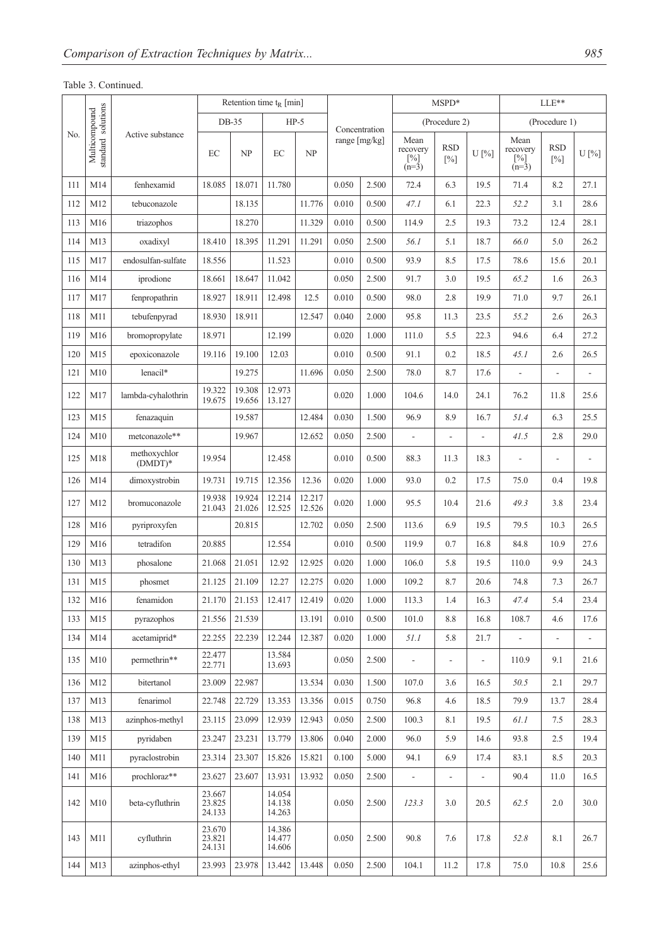## Table 3. Continued.

|     |                                     |                           |                            | Retention time $t_R$ [min] |                            |                  |       |               |                                    | MSPD*               |                |                                       | LLE**                |                |  |
|-----|-------------------------------------|---------------------------|----------------------------|----------------------------|----------------------------|------------------|-------|---------------|------------------------------------|---------------------|----------------|---------------------------------------|----------------------|----------------|--|
|     |                                     |                           |                            | $DB-35$                    | $HP-5$                     |                  |       | Concentration |                                    | (Procedure 2)       |                |                                       | (Procedure 1)        |                |  |
| No. | standard solutions<br>Multicompound | Active substance          | EC                         | NP                         | EC                         | NP               |       | range [mg/kg] | Mean<br>recovery<br>[%]<br>$(n=3)$ | <b>RSD</b><br>$[%]$ | U[%]           | Mean<br>recovery<br>$[\%]$<br>$(n=3)$ | <b>RSD</b><br>$[\%]$ | $U$ [%]        |  |
| 111 | M14                                 | fenhexamid                | 18.085                     | 18.071                     | 11.780                     |                  | 0.050 | 2.500         | 72.4                               | 6.3                 | 19.5           | 71.4                                  | 8.2                  | 27.1           |  |
| 112 | M12                                 | tebuconazole              |                            | 18.135                     |                            | 11.776           | 0.010 | 0.500         | 47.1                               | 6.1                 | 22.3           | 52.2                                  | 3.1                  | 28.6           |  |
| 113 | M16                                 | triazophos                |                            | 18.270                     |                            | 11.329           | 0.010 | 0.500         | 114.9                              | 2.5                 | 19.3           | 73.2                                  | 12.4                 | 28.1           |  |
| 114 | M13                                 | oxadixyl                  | 18.410                     | 18.395                     | 11.291                     | 11.291           | 0.050 | 2.500         | 56.1                               | 5.1                 | 18.7           | 66.0                                  | 5.0                  | 26.2           |  |
| 115 | M17                                 | endosulfan-sulfate        | 18.556                     |                            | 11.523                     |                  | 0.010 | 0.500         | 93.9                               | 8.5                 | 17.5           | 78.6                                  | 15.6                 | 20.1           |  |
| 116 | M14                                 | iprodione                 | 18.661                     | 18.647                     | 11.042                     |                  | 0.050 | 2.500         | 91.7                               | 3.0                 | 19.5           | 65.2                                  | 1.6                  | 26.3           |  |
| 117 | M17                                 | fenpropathrin             | 18.927                     | 18.911                     | 12.498                     | 12.5             | 0.010 | 0.500         | 98.0                               | 2.8                 | 19.9           | 71.0                                  | 9.7                  | 26.1           |  |
| 118 | M11                                 | tebufenpyrad              | 18.930                     | 18.911                     |                            | 12.547           | 0.040 | 2.000         | 95.8                               | 11.3                | 23.5           | 55.2                                  | 2.6                  | 26.3           |  |
| 119 | M16                                 | bromopropylate            | 18.971                     |                            | 12.199                     |                  | 0.020 | 1.000         | 111.0                              | 5.5                 | 22.3           | 94.6                                  | 6.4                  | 27.2           |  |
| 120 | M15                                 | epoxiconazole             | 19.116                     | 19.100                     | 12.03                      |                  | 0.010 | 0.500         | 91.1                               | 0.2                 | 18.5           | 45.1                                  | 2.6                  | 26.5           |  |
| 121 | M10                                 | lenacil*                  |                            | 19.275                     |                            | 11.696           | 0.050 | 2.500         | 78.0                               | 8.7                 | 17.6           | $\overline{a}$                        | L,                   | $\frac{1}{2}$  |  |
| 122 | M17                                 | lambda-cyhalothrin        | 19.322<br>19.675           | 19.308<br>19.656           | 12.973<br>13.127           |                  | 0.020 | 1.000         | 104.6                              | 14.0                | 24.1           | 76.2                                  | 11.8                 | 25.6           |  |
| 123 | M15                                 | fenazaquin                |                            | 19.587                     |                            | 12.484           | 0.030 | 1.500         | 96.9                               | 8.9                 | 16.7           | 51.4                                  | 6.3                  | 25.5           |  |
| 124 | M10                                 | metconazole**             |                            | 19.967                     |                            | 12.652           | 0.050 | 2.500         | L,                                 | L,                  | $\overline{a}$ | 41.5                                  | 2.8                  | 29.0           |  |
| 125 | M18                                 | methoxychlor<br>$(DMDT)*$ | 19.954                     |                            | 12.458                     |                  | 0.010 | 0.500         | 88.3                               | 11.3                | 18.3           |                                       |                      | ÷,             |  |
| 126 | M14                                 | dimoxystrobin             | 19.731                     | 19.715                     | 12.356                     | 12.36            | 0.020 | 1.000         | 93.0                               | 0.2                 | 17.5           | 75.0                                  | 0.4                  | 19.8           |  |
| 127 | M12                                 | bromuconazole             | 19.938<br>21.043           | 19.924<br>21.026           | 12.214<br>12.525           | 12.217<br>12.526 | 0.020 | 1.000         | 95.5                               | 10.4                | 21.6           | 49.3                                  | 3.8                  | 23.4           |  |
| 128 | M16                                 | pyriproxyfen              |                            | 20.815                     |                            | 12.702           | 0.050 | 2.500         | 113.6                              | 6.9                 | 19.5           | 79.5                                  | 10.3                 | 26.5           |  |
| 129 | M16                                 | tetradifon                | 20.885                     |                            | 12.554                     |                  | 0.010 | 0.500         | 119.9                              | 0.7                 | 16.8           | 84.8                                  | 10.9                 | 27.6           |  |
| 130 | M13                                 | phosalone                 | 21.068                     | 21.051                     | 12.92                      | 12.925           | 0.020 | 1.000         | 106.0                              | 5.8                 | 19.5           | 110.0                                 | 9.9                  | 24.3           |  |
| 131 | M15                                 | phosmet                   | 21.125                     | 21.109                     | 12.27                      | 12.275           | 0.020 | 1.000         | 109.2                              | 8.7                 | 20.6           | 74.8                                  | 7.3                  | 26.7           |  |
| 132 | M16                                 | fenamidon                 | 21.170                     | 21.153                     | 12.417                     | 12.419           | 0.020 | 1.000         | 113.3                              | 1.4                 | 16.3           | 47.4                                  | 5.4                  | 23.4           |  |
| 133 | M15                                 | pyrazophos                | 21.556                     | 21.539                     |                            | 13.191           | 0.010 | 0.500         | 101.0                              | 8.8                 | 16.8           | 108.7                                 | 4.6                  | 17.6           |  |
| 134 | M14                                 | acetamiprid*              | 22.255                     | 22.239                     | 12.244                     | 12.387           | 0.020 | 1.000         | 51.1                               | 5.8                 | 21.7           | ÷,                                    |                      | $\overline{a}$ |  |
| 135 | M10                                 | permethrin**              | 22.477<br>22.771           |                            | 13.584<br>13.693           |                  | 0.050 | 2.500         | L,                                 |                     |                | 110.9                                 | 9.1                  | 21.6           |  |
| 136 | M12                                 | bitertanol                | 23.009                     | 22.987                     |                            | 13.534           | 0.030 | 1.500         | 107.0                              | 3.6                 | 16.5           | 50.5                                  | 2.1                  | 29.7           |  |
| 137 | M13                                 | fenarimol                 | 22.748                     | 22.729                     | 13.353                     | 13.356           | 0.015 | 0.750         | 96.8                               | 4.6                 | 18.5           | 79.9                                  | 13.7                 | 28.4           |  |
| 138 | M13                                 | azinphos-methyl           | 23.115                     | 23.099                     | 12.939                     | 12.943           | 0.050 | 2.500         | 100.3                              | 8.1                 | 19.5           | 61.1                                  | 7.5                  | 28.3           |  |
| 139 | M15                                 | pyridaben                 | 23.247                     | 23.231                     | 13.779                     | 13.806           | 0.040 | 2.000         | 96.0                               | 5.9                 | 14.6           | 93.8                                  | 2.5                  | 19.4           |  |
| 140 | M11                                 | pyraclostrobin            | 23.314                     | 23.307                     | 15.826                     | 15.821           | 0.100 | 5.000         | 94.1                               | 6.9                 | 17.4           | 83.1                                  | 8.5                  | 20.3           |  |
| 141 | M16                                 | prochloraz**              | 23.627                     | 23.607                     | 13.931                     | 13.932           | 0.050 | 2.500         | $\blacksquare$                     | $\frac{1}{2}$       | $\overline{a}$ | 90.4                                  | 11.0                 | 16.5           |  |
| 142 | M10                                 | beta-cyfluthrin           | 23.667<br>23.825<br>24.133 |                            | 14.054<br>14.138<br>14.263 |                  | 0.050 | 2.500         | 123.3                              | 3.0                 | 20.5           | 62.5                                  | 2.0                  | 30.0           |  |
| 143 | M11                                 | cyfluthrin                | 23.670<br>23.821<br>24.131 |                            | 14.386<br>14.477<br>14.606 |                  | 0.050 | 2.500         | 90.8                               | 7.6                 | 17.8           | 52.8                                  | 8.1                  | 26.7           |  |
| 144 | M13                                 | azinphos-ethyl            | 23.993                     | 23.978                     | 13.442                     | 13.448           | 0.050 | 2.500         | 104.1                              | 11.2                | 17.8           | 75.0                                  | 10.8                 | 25.6           |  |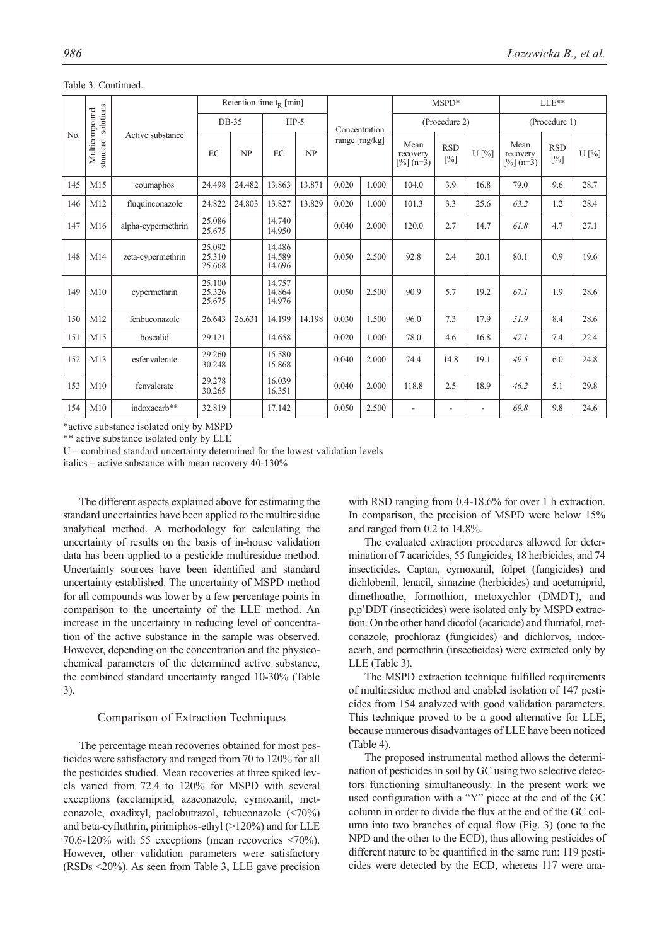|     |                           |                    |                            | Retention time $t_R$ [min] |                            |        |                 |               |                 | $MSPD*$                  |                                             |                      | $LLE**$ |                                             |                      |      |
|-----|---------------------------|--------------------|----------------------------|----------------------------|----------------------------|--------|-----------------|---------------|-----------------|--------------------------|---------------------------------------------|----------------------|---------|---------------------------------------------|----------------------|------|
|     | solutions                 |                    |                            | DB-35                      |                            | $HP-5$ |                 | Concentration | (Procedure 2)   |                          |                                             | (Procedure 1)        |         |                                             |                      |      |
| No. | Multicompound<br>standard | Active substance   | EC                         | NP                         | EC                         | NP     | range $[mg/kg]$ |               |                 |                          | Mean<br>recovery<br>$\lceil\% \rceil$ (n=3) | <b>RSD</b><br>$[\%]$ | U[%]    | Mean<br>recovery<br>$\lceil\% \rceil$ (n=3) | <b>RSD</b><br>$[\%]$ | U[%] |
| 145 | M15                       | coumaphos          | 24.498                     | 24.482                     | 13.863                     | 13.871 | 0.020           | 1.000         | 104.0           | 3.9                      | 16.8                                        | 79.0                 | 9.6     | 28.7                                        |                      |      |
| 146 | M12                       | fluquinconazole    | 24.822                     | 24.803                     | 13.827                     | 13.829 | 0.020           | 1.000         | 101.3           | 3.3                      | 25.6                                        | 63.2                 | 1.2     | 28.4                                        |                      |      |
| 147 | M16                       | alpha-cypermethrin | 25.086<br>25.675           |                            | 14.740<br>14.950           |        | 0.040           | 2.000         | 120.0           | 2.7                      | 14.7                                        | 61.8                 | 4.7     | 27.1                                        |                      |      |
| 148 | M14                       | zeta-cypermethrin  | 25.092<br>25.310<br>25.668 |                            | 14.486<br>14.589<br>14.696 |        | 0.050           | 2.500         | 92.8            | 2.4                      | 20.1                                        | 80.1                 | 0.9     | 19.6                                        |                      |      |
| 149 | M10                       | cypermethrin       | 25.100<br>25.326<br>25.675 |                            | 14.757<br>14.864<br>14.976 |        | 0.050           | 2.500         | 90.9            | 5.7                      | 19.2                                        | 67.1                 | 1.9     | 28.6                                        |                      |      |
| 150 | M12                       | fenbuconazole      | 26.643                     | 26.631                     | 14.199                     | 14.198 | 0.030           | 1.500         | 96.0            | 7.3                      | 17.9                                        | 51.9                 | 8.4     | 28.6                                        |                      |      |
| 151 | M15                       | boscalid           | 29.121                     |                            | 14.658                     |        | 0.020           | 1.000         | 78.0            | 4.6                      | 16.8                                        | 47.1                 | 7.4     | 22.4                                        |                      |      |
| 152 | M13                       | esfenvalerate      | 29.260<br>30.248           |                            | 15.580<br>15.868           |        | 0.040           | 2.000         | 74.4            | 14.8                     | 19.1                                        | 49.5                 | 6.0     | 24.8                                        |                      |      |
| 153 | M10                       | fenvalerate        | 29.278<br>30.265           |                            | 16.039<br>16.351           |        | 0.040           | 2.000         | 118.8           | 2.5                      | 18.9                                        | 46.2                 | 5.1     | 29.8                                        |                      |      |
| 154 | M10                       | indoxacarb**       | 32.819                     |                            | 17.142                     |        | 0.050           | 2.500         | $\qquad \qquad$ | $\overline{\phantom{0}}$ | $\overline{\phantom{a}}$                    | 69.8                 | 9.8     | 24.6                                        |                      |      |

Table 3. Continued.

\*active substance isolated only by MSPD

\*\* active substance isolated only by LLE

U – combined standard uncertainty determined for the lowest validation levels

italics – active substance with mean recovery 40-130%

The different aspects explained above for estimating the standard uncertainties have been applied to the multiresidue analytical method. A methodology for calculating the uncertainty of results on the basis of in-house validation data has been applied to a pesticide multiresidue method. Uncertainty sources have been identified and standard uncertainty established. The uncertainty of MSPD method for all compounds was lower by a few percentage points in comparison to the uncertainty of the LLE method. An increase in the uncertainty in reducing level of concentration of the active substance in the sample was observed. However, depending on the concentration and the physicochemical parameters of the determined active substance, the combined standard uncertainty ranged 10-30% (Table 3).

## Comparison of Extraction Techniques

The percentage mean recoveries obtained for most pesticides were satisfactory and ranged from 70 to 120% for all the pesticides studied. Mean recoveries at three spiked levels varied from 72.4 to 120% for MSPD with several exceptions (acetamiprid, azaconazole, cymoxanil, metconazole, oxadixyl, paclobutrazol, tebuconazole (<70%) and beta-cyfluthrin, pirimiphos-ethyl (>120%) and for LLE 70.6-120% with 55 exceptions (mean recoveries <70%). However, other validation parameters were satisfactory (RSDs <20%). As seen from Table 3, LLE gave precision with RSD ranging from 0.4-18.6% for over 1 h extraction. In comparison, the precision of MSPD were below 15% and ranged from 0.2 to 14.8%.

The evaluated extraction procedures allowed for determination of 7 acaricides, 55 fungicides, 18 herbicides, and 74 insecticides. Captan, cymoxanil, folpet (fungicides) and dichlobenil, lenacil, simazine (herbicides) and acetamiprid, dimethoathe, formothion, metoxychlor (DMDT), and p,p'DDT (insecticides) were isolated only by MSPD extraction. On the other hand dicofol (acaricide) and flutriafol, metconazole, prochloraz (fungicides) and dichlorvos, indoxacarb, and permethrin (insecticides) were extracted only by LLE (Table 3).

The MSPD extraction technique fulfilled requirements of multiresidue method and enabled isolation of 147 pesticides from 154 analyzed with good validation parameters. This technique proved to be a good alternative for LLE, because numerous disadvantages of LLE have been noticed (Table 4).

The proposed instrumental method allows the determination of pesticides in soil by GC using two selective detectors functioning simultaneously. In the present work we used configuration with a "Y" piece at the end of the GC column in order to divide the flux at the end of the GC column into two branches of equal flow (Fig. 3) (one to the NPD and the other to the ECD), thus allowing pesticides of different nature to be quantified in the same run: 119 pesticides were detected by the ECD, whereas 117 were ana-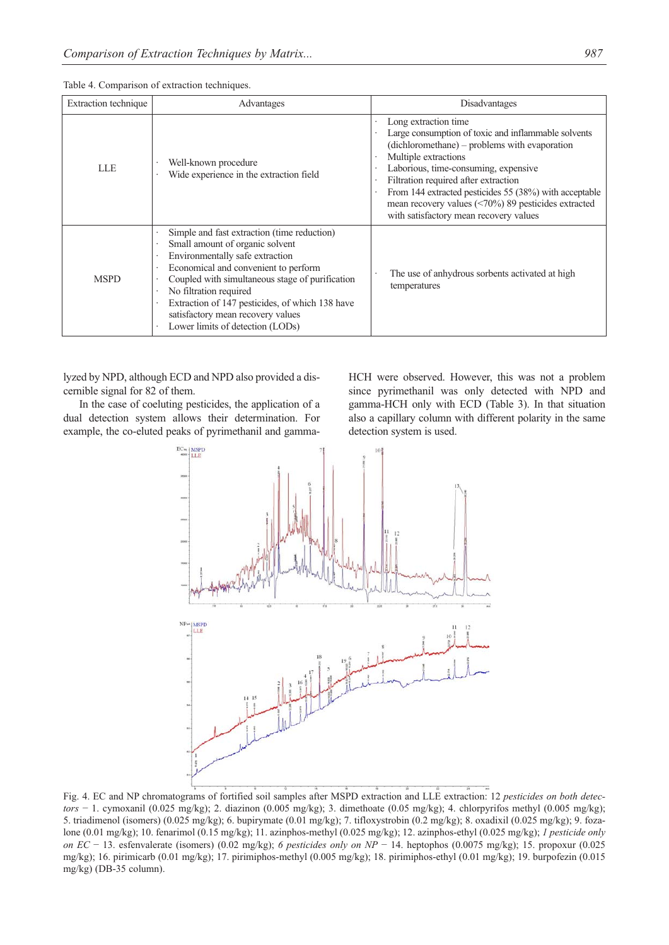| Extraction technique | Advantages                                                                                                                                                                                                                                                                                                                                                         | <b>Disadvantages</b>                                                                                                                                                                                                                                                                                                                                                                               |
|----------------------|--------------------------------------------------------------------------------------------------------------------------------------------------------------------------------------------------------------------------------------------------------------------------------------------------------------------------------------------------------------------|----------------------------------------------------------------------------------------------------------------------------------------------------------------------------------------------------------------------------------------------------------------------------------------------------------------------------------------------------------------------------------------------------|
| LLE                  | Well-known procedure<br>Wide experience in the extraction field                                                                                                                                                                                                                                                                                                    | Long extraction time<br>Large consumption of toxic and inflammable solvents<br>(dichloromethane) – problems with evaporation<br>Multiple extractions<br>Laborious, time-consuming, expensive<br>Filtration required after extraction<br>From 144 extracted pesticides 55 (38%) with acceptable<br>mean recovery values $(<70\%)$ 89 pesticides extracted<br>with satisfactory mean recovery values |
| <b>MSPD</b>          | Simple and fast extraction (time reduction)<br>Small amount of organic solvent<br>Environmentally safe extraction<br>Economical and convenient to perform<br>Coupled with simultaneous stage of purification<br>No filtration required<br>Extraction of 147 pesticides, of which 138 have<br>satisfactory mean recovery values<br>Lower limits of detection (LODs) | The use of anhydrous sorbents activated at high<br>temperatures                                                                                                                                                                                                                                                                                                                                    |

Table 4. Comparison of extraction techniques.

lyzed by NPD, although ECD and NPD also provided a discernible signal for 82 of them.

In the case of coeluting pesticides, the application of a dual detection system allows their determination. For example, the co-eluted peaks of pyrimethanil and gammaHCH were observed. However, this was not a problem since pyrimethanil was only detected with NPD and gamma-HCH only with ECD (Table 3). In that situation also a capillary column with different polarity in the same detection system is used.



Fig. 4. EC and NP chromatograms of fortified soil samples after MSPD extraction and LLE extraction: 12 *pesticides on both detectors* − 1. cymoxanil (0.025 mg/kg); 2. diazinon (0.005 mg/kg); 3. dimethoate (0.05 mg/kg); 4. chlorpyrifos methyl (0.005 mg/kg); 5. triadimenol (isomers) (0.025 mg/kg); 6. bupirymate (0.01 mg/kg); 7. tifloxystrobin (0.2 mg/kg); 8. oxadixil (0.025 mg/kg); 9. fozalone (0.01 mg/kg); 10. fenarimol (0.15 mg/kg); 11. azinphos-methyl (0.025 mg/kg); 12. azinphos-ethyl (0.025 mg/kg); *1 pesticide only on EC* − 13. esfenvalerate (isomers) (0.02 mg/kg); *6 pesticides only on NP* − 14. heptophos (0.0075 mg/kg); 15. propoxur (0.025 mg/kg); 16. pirimicarb (0.01 mg/kg); 17. pirimiphos-methyl (0.005 mg/kg); 18. pirimiphos-ethyl (0.01 mg/kg); 19. burpofezin (0.015 mg/kg) (DB-35 column).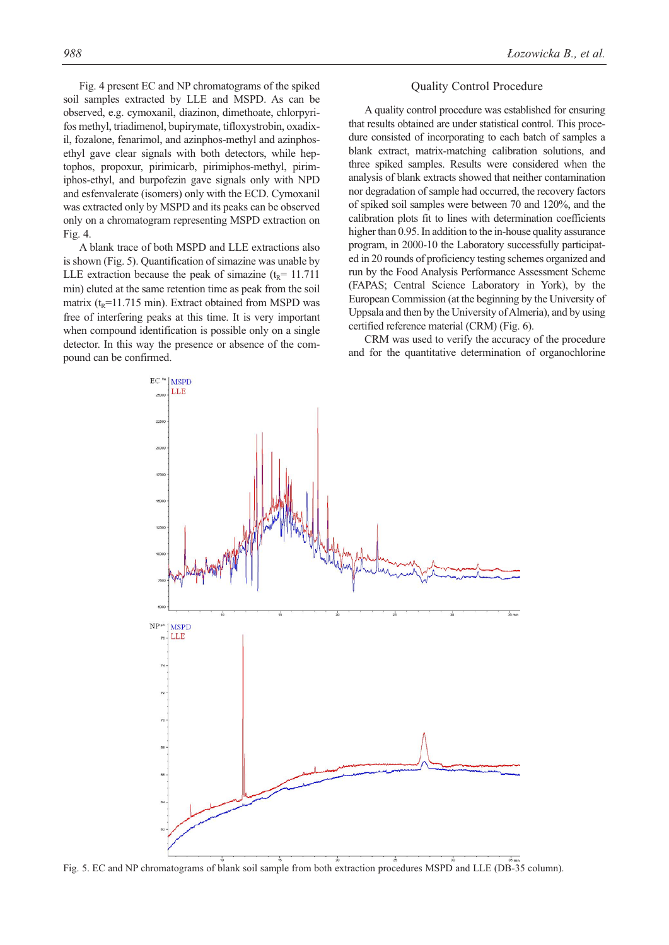Fig. 4 present EC and NP chromatograms of the spiked soil samples extracted by LLE and MSPD. As can be observed, e.g. cymoxanil, diazinon, dimethoate, chlorpyrifos methyl, triadimenol, bupirymate, tifloxystrobin, oxadixil, fozalone, fenarimol, and azinphos-methyl and azinphosethyl gave clear signals with both detectors, while heptophos, propoxur, pirimicarb, pirimiphos-methyl, pirimiphos-ethyl, and burpofezin gave signals only with NPD and esfenvalerate (isomers) only with the ECD. Cymoxanil was extracted only by MSPD and its peaks can be observed only on a chromatogram representing MSPD extraction on Fig. 4.

A blank trace of both MSPD and LLE extractions also is shown (Fig. 5). Quantification of simazine was unable by LLE extraction because the peak of simazine  $(t_R= 11.711$ min) eluted at the same retention time as peak from the soil matrix ( $t_R$ =11.715 min). Extract obtained from MSPD was free of interfering peaks at this time. It is very important when compound identification is possible only on a single detector. In this way the presence or absence of the compound can be confirmed.

#### Quality Control Procedure

A quality control procedure was established for ensuring that results obtained are under statistical control. This procedure consisted of incorporating to each batch of samples a blank extract, matrix-matching calibration solutions, and three spiked samples. Results were considered when the analysis of blank extracts showed that neither contamination nor degradation of sample had occurred, the recovery factors of spiked soil samples were between 70 and 120%, and the calibration plots fit to lines with determination coefficients higher than 0.95. In addition to the in-house quality assurance program, in 2000-10 the Laboratory successfully participated in 20 rounds of proficiency testing schemes organized and run by the Food Analysis Performance Assessment Scheme (FAPAS; Central Science Laboratory in York), by the European Commission (at the beginning by the University of Uppsala and then by the University of Almeria), and by using certified reference material (CRM) (Fig. 6).

CRM was used to verify the accuracy of the procedure and for the quantitative determination of organochlorine



Fig. 5. EC and NP chromatograms of blank soil sample from both extraction procedures MSPD and LLE (DB-35 column).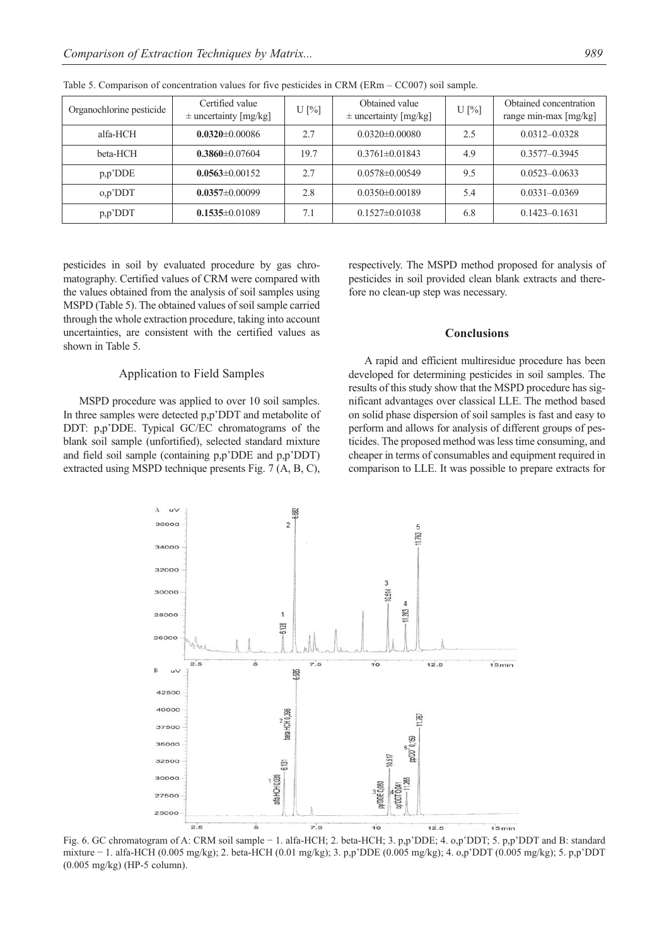| Organochlorine pesticide | Certified value<br>$\pm$ uncertainty [mg/kg] | $U$ [%] | Obtained value<br>$\pm$ uncertainty [mg/kg] | $U$ [%] | Obtained concentration<br>range min-max [mg/kg] |
|--------------------------|----------------------------------------------|---------|---------------------------------------------|---------|-------------------------------------------------|
| alfa-HCH                 | $0.0320 \pm 0.00086$                         | 2.7     | $0.0320\pm0.00080$                          | 2.5     | $0.0312 - 0.0328$                               |
| beta-HCH                 | $0.3860 \pm 0.07604$                         | 19.7    | $0.3761 \pm 0.01843$                        | 4.9     | $0.3577 - 0.3945$                               |
| p, p' DDE                | $0.0563 \pm 0.00152$                         | 2.7     | $0.0578 \pm 0.00549$                        | 9.5     | $0.0523 - 0.0633$                               |
| o,p'DDT                  | $0.0357 \pm 0.00099$                         | 2.8     | $0.0350\pm0.00189$                          | 5.4     | $0.0331 - 0.0369$                               |
| $p, p'$ DDT              | $0.1535 \pm 0.01089$                         | 7.1     | $0.1527 \pm 0.01038$                        | 6.8     | $0.1423 - 0.1631$                               |

Table 5. Comparison of concentration values for five pesticides in CRM (ERm – CC007) soil sample.

pesticides in soil by evaluated procedure by gas chromatography. Certified values of CRM were compared with the values obtained from the analysis of soil samples using MSPD (Table 5). The obtained values of soil sample carried through the whole extraction procedure, taking into account uncertainties, are consistent with the certified values as shown in Table 5.

## Application to Field Samples

MSPD procedure was applied to over 10 soil samples. In three samples were detected p,p'DDT and metabolite of DDT: p,p'DDE. Typical GC/EC chromatograms of the blank soil sample (unfortified), selected standard mixture and field soil sample (containing p,p'DDE and p,p'DDT) extracted using MSPD technique presents Fig. 7 (A, B, C), respectively. The MSPD method proposed for analysis of pesticides in soil provided clean blank extracts and therefore no clean-up step was necessary.

#### **Conclusions**

A rapid and efficient multiresidue procedure has been developed for determining pesticides in soil samples. The results of this study show that the MSPD procedure has significant advantages over classical LLE. The method based on solid phase dispersion of soil samples is fast and easy to perform and allows for analysis of different groups of pesticides. The proposed method was less time consuming, and cheaper in terms of consumables and equipment required in comparison to LLE. It was possible to prepare extracts for



Fig. 6. GC chromatogram of A: CRM soil sample − 1. alfa-HCH; 2. beta-HCH; 3. p,p'DDE; 4. o,p'DDT; 5. p,p'DDT and B: standard mixture − 1. alfa-HCH (0.005 mg/kg); 2. beta-HCH (0.01 mg/kg); 3. p,p'DDE (0.005 mg/kg); 4. o,p'DDT (0.005 mg/kg); 5. p,p'DDT (0.005 mg/kg) (HP-5 column).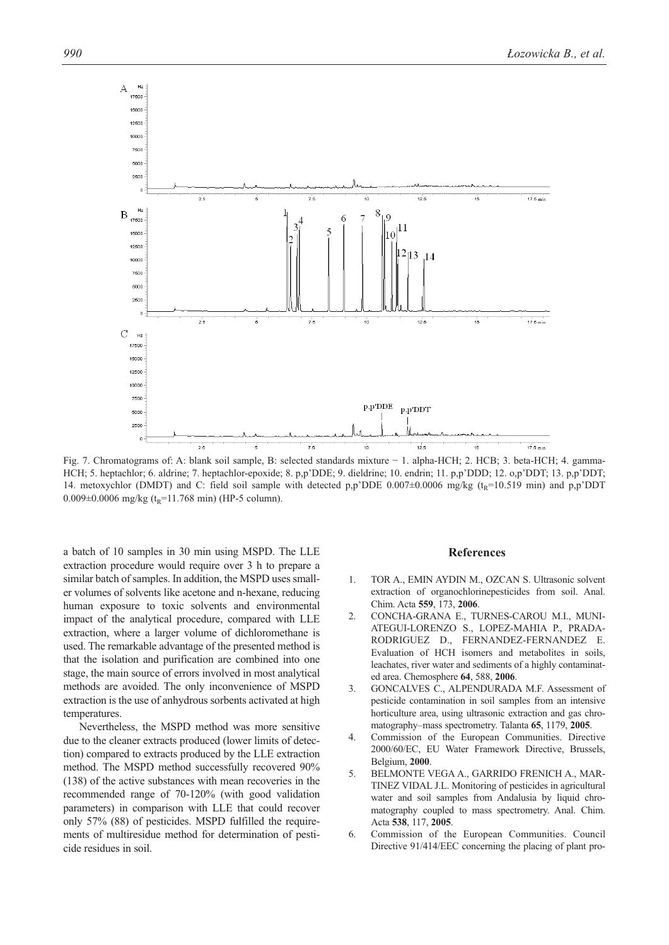

Fig. 7. Chromatograms of: A: blank soil sample, B: selected standards mixture − 1. alpha-HCH; 2. HCB; 3. beta-HCH; 4. gamma-HCH; 5. heptachlor; 6. aldrine; 7. heptachlor-epoxide; 8. p,p'DDE; 9. dieldrine; 10. endrin; 11. p,p'DDD; 12. o,p'DDT; 13. p,p'DDT; 14. metoxychlor (DMDT) and C: field soil sample with detected p,p'DDE 0.007 $\pm$ 0.0006 mg/kg (t<sub>R</sub>=10.519 min) and p,p'DDT 0.009 $\pm$ 0.0006 mg/kg (t<sub>R</sub>=11.768 min) (HP-5 column).

a batch of 10 samples in 30 min using MSPD. The LLE extraction procedure would require over 3 h to prepare a similar batch of samples. In addition, the MSPD uses smaller volumes of solvents like acetone and n-hexane, reducing human exposure to toxic solvents and environmental impact of the analytical procedure, compared with LLE extraction, where a larger volume of dichloromethane is used. The remarkable advantage of the presented method is that the isolation and purification are combined into one stage, the main source of errors involved in most analytical methods are avoided. The only inconvenience of MSPD extraction is the use of anhydrous sorbents activated at high temperatures.

Nevertheless, the MSPD method was more sensitive due to the cleaner extracts produced (lower limits of detection) compared to extracts produced by the LLE extraction method. The MSPD method successfully recovered 90% (138) of the active substances with mean recoveries in the recommended range of 70-120% (with good validation parameters) in comparison with LLE that could recover only 57% (88) of pesticides. MSPD fulfilled the requirements of multiresidue method for determination of pesticide residues in soil.

#### **References**

- 1. TOR A., EMIN AYDIN M., OZCAN S. Ultrasonic solvent extraction of organochlorinepesticides from soil. Anal. Chim. Acta **559**, 173, **2006**.
- 2. CONCHA-GRANA E., TURNES-CAROU M.I., MUNI-ATEGUI-LORENZO S., LOPEZ-MAHIA P., PRADA-RODRIGUEZ D., FERNANDEZ-FERNANDEZ E. Evaluation of HCH isomers and metabolites in soils, leachates, river water and sediments of a highly contaminated area. Chemosphere **64**, 588, **2006**.
- 3. GONCALVES C., ALPENDURADA M.F. Assessment of pesticide contamination in soil samples from an intensive horticulture area, using ultrasonic extraction and gas chromatography–mass spectrometry. Talanta **65**, 1179, **2005**.
- 4. Commission of the European Communities. Directive 2000/60/EC, EU Water Framework Directive, Brussels, Belgium, **2000**.
- 5. BELMONTE VEGA A., GARRIDO FRENICH A., MAR-TINEZ VIDAL J.L. Monitoring of pesticides in agricultural water and soil samples from Andalusia by liquid chromatography coupled to mass spectrometry. Anal. Chim. Acta **538**, 117, **2005**.
- 6. Commission of the European Communities. Council Directive 91/414/EEC concerning the placing of plant pro-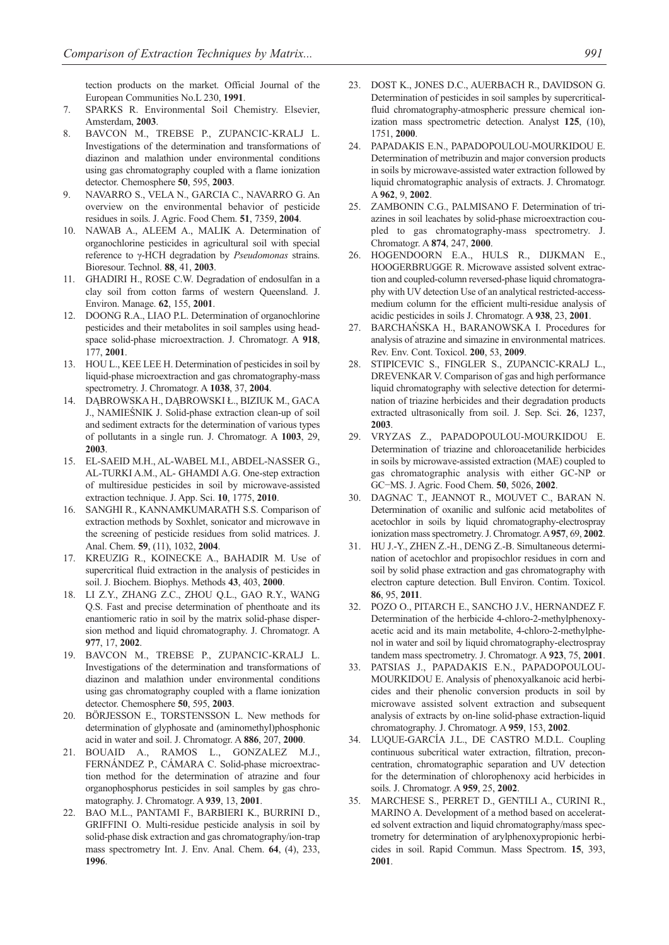tection products on the market. Official Journal of the European Communities No.L 230, **1991**.

- 7. SPARKS R. Environmental Soil Chemistry. Elsevier, Amsterdam, **2003**.
- 8. BAVCON M., TREBSE P., ZUPANCIC-KRALJ L. Investigations of the determination and transformations of diazinon and malathion under environmental conditions using gas chromatography coupled with a flame ionization detector. Chemosphere **50**, 595, **2003**.
- 9. NAVARRO S., VELA N., GARCIA C., NAVARRO G. An overview on the environmental behavior of pesticide residues in soils. J. Agric. Food Chem. **51**, 7359, **2004**.
- 10. NAWAB A., ALEEM A., MALIK A. Determination of organochlorine pesticides in agricultural soil with special reference to γ-HCH degradation by *Pseudomonas* strains. Bioresour. Technol. **88**, 41, **2003**.
- 11. GHADIRI H., ROSE C.W. Degradation of endosulfan in a clay soil from cotton farms of western Queensland. J. Environ. Manage. **62**, 155, **2001**.
- 12. DOONG R.A., LIAO P.L. Determination of organochlorine pesticides and their metabolites in soil samples using headspace solid-phase microextraction. J. Chromatogr. A **918**, 177, **2001**.
- 13. HOU L., KEE LEE H. Determination of pesticides in soil by liquid-phase microextraction and gas chromatography-mass spectrometry. J. Chromatogr. A **1038**, 37, **2004**.
- 14. DĄBROWSKA H., DĄBROWSKI Ł., BIZIUK M., GACA J., NAMIEŚNIK J. Solid-phase extraction clean-up of soil and sediment extracts for the determination of various types of pollutants in a single run. J. Chromatogr. A **1003**, 29, **2003**.
- 15. EL-SAEID M.H., AL-WABEL M.I., ABDEL-NASSER G., AL-TURKI A.M., AL- GHAMDI A.G. One-step extraction of multiresidue pesticides in soil by microwave-assisted extraction technique. J. App. Sci. **10**, 1775, **2010**.
- 16. SANGHI R., KANNAMKUMARATH S.S. Comparison of extraction methods by Soxhlet, sonicator and microwave in the screening of pesticide residues from solid matrices. J. Anal. Chem. **59**, (11), 1032, **2004**.
- 17. KREUZIG R., KOINECKE A., BAHADIR M. Use of supercritical fluid extraction in the analysis of pesticides in soil. J. Biochem. Biophys. Methods **43**, 403, **2000**.
- 18. LI Z.Y., ZHANG Z.C., ZHOU Q.L., GAO R.Y., WANG Q.S. Fast and precise determination of phenthoate and its enantiomeric ratio in soil by the matrix solid-phase dispersion method and liquid chromatography. J. Chromatogr. A **977**, 17, **2002**.
- 19. BAVCON M., TREBSE P., ZUPANCIC-KRALJ L. Investigations of the determination and transformations of diazinon and malathion under environmental conditions using gas chromatography coupled with a flame ionization detector. Chemosphere **50**, 595, **2003**.
- 20. BÖRJESSON E., TORSTENSSON L. New methods for determination of glyphosate and (aminomethyl)phosphonic acid in water and soil. J. Chromatogr. A **886**, 207, **2000**.
- 21. BOUAID A., RAMOS L., GONZALEZ M.J., FERNÁNDEZ P., CÁMARA C. Solid-phase microextraction method for the determination of atrazine and four organophosphorus pesticides in soil samples by gas chromatography. J. Chromatogr. A **939**, 13, **2001**.
- 22. BAO M.L., PANTAMI F., BARBIERI K., BURRINI D., GRIFFINI O. Multi-residue pesticide analysis in soil by solid-phase disk extraction and gas chromatography/ion-trap mass spectrometry Int. J. Env. Anal. Chem. **64**, (4), 233, **1996**.
- 23. DOST K., JONES D.C., AUERBACH R., DAVIDSON G. Determination of pesticides in soil samples by supercriticalfluid chromatography-atmospheric pressure chemical ionization mass spectrometric detection. Analyst **125**, (10), 1751, **2000**.
- 24. PAPADAKIS E.N., PAPADOPOULOU-MOURKIDOU E. Determination of metribuzin and major conversion products in soils by microwave-assisted water extraction followed by liquid chromatographic analysis of extracts. J. Chromatogr. A **962**, 9, **2002**.
- 25. ZAMBONIN C.G., PALMISANO F. Determination of triazines in soil leachates by solid-phase microextraction coupled to gas chromatography-mass spectrometry. J. Chromatogr. A **874**, 247, **2000**.
- 26. HOGENDOORN E.A., HULS R., DIJKMAN E., HOOGERBRUGGE R. Microwave assisted solvent extraction and coupled-column reversed-phase liquid chromatography with UV detection Use of an analytical restricted-accessmedium column for the efficient multi-residue analysis of acidic pesticides in soils J. Chromatogr. A **938**, 23, **2001**.
- 27. BARCHAŃSKA H., BARANOWSKA I. Procedures for analysis of atrazine and simazine in environmental matrices. Rev. Env. Cont. Toxicol. **200**, 53, **2009**.
- 28. STIPICEVIC S., FINGLER S., ZUPANCIC-KRALJ L., DREVENKAR V. Comparison of gas and high performance liquid chromatography with selective detection for determination of triazine herbicides and their degradation products extracted ultrasonically from soil. J. Sep. Sci. **26**, 1237, **2003**.
- 29. VRYZAS Z., PAPADOPOULOU-MOURKIDOU E. Determination of triazine and chloroacetanilide herbicides in soils by microwave-assisted extraction (MAE) coupled to gas chromatographic analysis with either GC-NP or GC−MS. J. Agric. Food Chem. **50**, 5026, **2002**.
- 30. DAGNAC T., JEANNOT R., MOUVET C., BARAN N. Determination of oxanilic and sulfonic acid metabolites of acetochlor in soils by liquid chromatography-electrospray ionization mass spectrometry. J. Chromatogr. A **957**, 69, **2002**.
- 31. HU J.-Y., ZHEN Z.-H., DENG Z.-B. Simultaneous determination of acetochlor and propisochlor residues in corn and soil by solid phase extraction and gas chromatography with electron capture detection. Bull Environ. Contim. Toxicol. **86**, 95, **2011**.
- 32. POZO O., PITARCH E., SANCHO J.V., HERNANDEZ F. Determination of the herbicide 4-chloro-2-methylphenoxyacetic acid and its main metabolite, 4-chloro-2-methylphenol in water and soil by liquid chromatography-electrospray tandem mass spectrometry. J. Chromatogr. A **923**, 75, **2001**.
- 33. PATSIAS J., PAPADAKIS E.N., PAPADOPOULOU-MOURKIDOU E. Analysis of phenoxyalkanoic acid herbicides and their phenolic conversion products in soil by microwave assisted solvent extraction and subsequent analysis of extracts by on-line solid-phase extraction-liquid chromatography. J. Chromatogr. A **959**, 153, **2002**.
- 34. LUQUE-GARCÍA J.L., DE CASTRO M.D.L. Coupling continuous subcritical water extraction, filtration, preconcentration, chromatographic separation and UV detection for the determination of chlorophenoxy acid herbicides in soils. J. Chromatogr. A **959**, 25, **2002**.
- 35. MARCHESE S., PERRET D., GENTILI A., CURINI R., MARINO A. Development of a method based on accelerated solvent extraction and liquid chromatography/mass spectrometry for determination of arylphenoxypropionic herbicides in soil. Rapid Commun. Mass Spectrom. **15**, 393, **2001**.